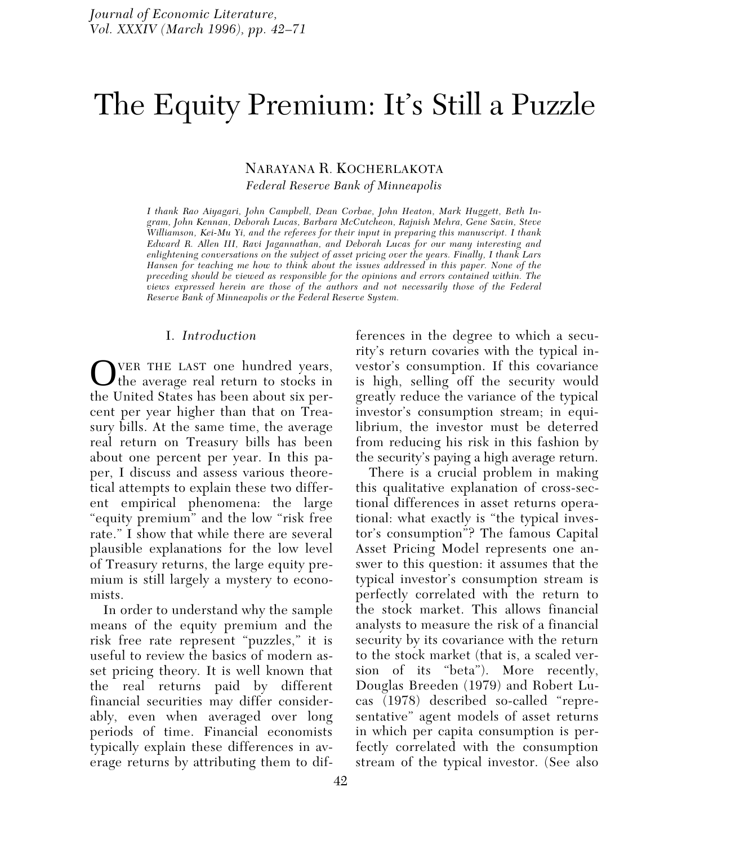# The Equity Premium: It's Still a Puzzle

## NARAYANA R. KOCHERLAKOTA

*Federal Reserve Bank of Minneapolis*

*I thank Rao Aiyagari, John Campbell, Dean Corbae, John Heaton, Mark Huggett, Beth Ingram, John Kennan, Deborah Lucas, Barbara McCutcheon, Rajnish Mehra, Gene Savin, Steve Williamson, Kei-Mu Yi, and the referees for their input in preparing this manuscript. I thank Edward R. Allen III, Ravi Jagannathan, and Deborah Lucas for our many interesting and enlightening conversations on the subject of asset pricing over the years. Finally, I thank Lars Hansen for teaching me how to think about the issues addressed in this paper. None of the preceding should be viewed as responsible for the opinions and errors contained within. The views expressed herein are those of the authors and not necessarily those of the Federal Reserve Bank of Minneapolis or the Federal Reserve System.*

## I. *Introduction*

VER THE LAST one hundred years, the average real return to stocks in the United States has been about six percent per year higher than that on Treasury bills. At the same time, the average real return on Treasury bills has been about one percent per year. In this paper, I discuss and assess various theoretical attempts to explain these two different empirical phenomena: the large "equity premium" and the low "risk free rate." I show that while there are several plausible explanations for the low level of Treasury returns, the large equity premium is still largely a mystery to economists.

In order to understand why the sample means of the equity premium and the risk free rate represent "puzzles," it is useful to review the basics of modern asset pricing theory. It is well known that the real returns paid by different financial securities may differ considerably, even when averaged over long periods of time. Financial economists typically explain these differences in average returns by attributing them to differences in the degree to which a security's return covaries with the typical investor's consumption. If this covariance is high, selling off the security would greatly reduce the variance of the typical investor's consumption stream; in equilibrium, the investor must be deterred from reducing his risk in this fashion by the security's paying a high average return.

There is a crucial problem in making this qualitative explanation of cross-sectional differences in asset returns operational: what exactly is "the typical investor's consumption"? The famous Capital Asset Pricing Model represents one answer to this question: it assumes that the typical investor's consumption stream is perfectly correlated with the return to the stock market. This allows financial analysts to measure the risk of a financial security by its covariance with the return to the stock market (that is, a scaled version of its "beta"). More recently, Douglas Breeden (1979) and Robert Lucas (1978) described so-called "representative" agent models of asset returns in which per capita consumption is perfectly correlated with the consumption stream of the typical investor. (See also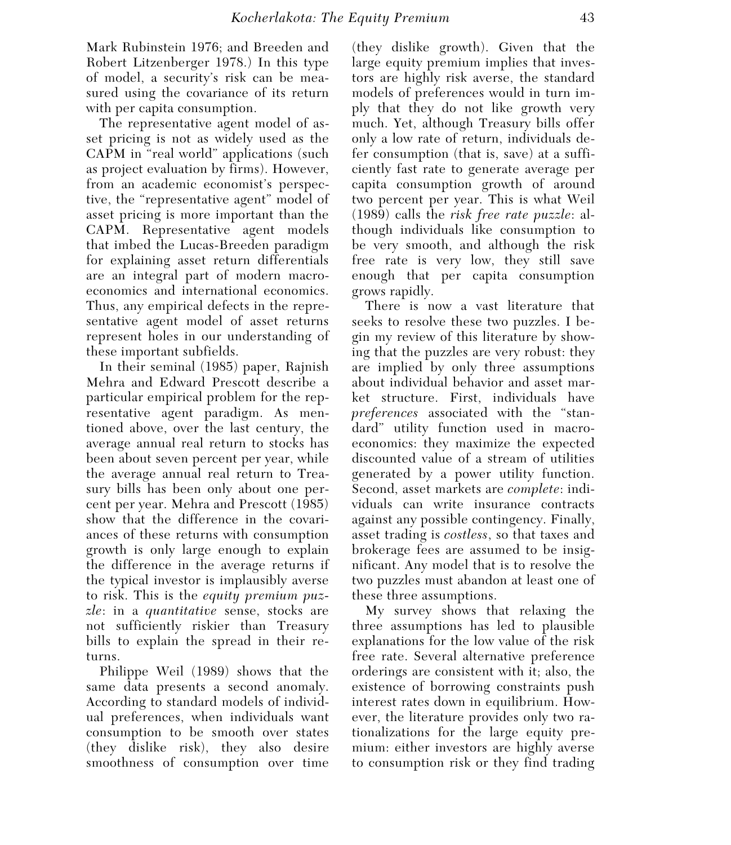Mark Rubinstein 1976; and Breeden and Robert Litzenberger 1978.) In this type of model, a security's risk can be measured using the covariance of its return with per capita consumption.

The representative agent model of asset pricing is not as widely used as the CAPM in "real world" applications (such as project evaluation by firms). However, from an academic economist's perspective, the "representative agent" model of asset pricing is more important than the CAPM. Representative agent models that imbed the Lucas-Breeden paradigm for explaining asset return differentials are an integral part of modern macroeconomics and international economics. Thus, any empirical defects in the representative agent model of asset returns represent holes in our understanding of these important subfields.

In their seminal (1985) paper, Rajnish Mehra and Edward Prescott describe a particular empirical problem for the representative agent paradigm. As mentioned above, over the last century, the average annual real return to stocks has been about seven percent per year, while the average annual real return to Treasury bills has been only about one percent per year. Mehra and Prescott (1985) show that the difference in the covariances of these returns with consumption growth is only large enough to explain the difference in the average returns if the typical investor is implausibly averse to risk. This is the *equity premium puzzle*: in a *quantitative* sense, stocks are not sufficiently riskier than Treasury bills to explain the spread in their returns.

Philippe Weil (1989) shows that the same data presents a second anomaly. According to standard models of individual preferences, when individuals want consumption to be smooth over states (they dislike risk), they also desire smoothness of consumption over time

(they dislike growth). Given that the large equity premium implies that investors are highly risk averse, the standard models of preferences would in turn imply that they do not like growth very much. Yet, although Treasury bills offer only a low rate of return, individuals defer consumption (that is, save) at a sufficiently fast rate to generate average per capita consumption growth of around two percent per year. This is what Weil (1989) calls the *risk free rate puzzle*: although individuals like consumption to be very smooth, and although the risk free rate is very low, they still save enough that per capita consumption grows rapidly.

There is now a vast literature that seeks to resolve these two puzzles. I begin my review of this literature by showing that the puzzles are very robust: they are implied by only three assumptions about individual behavior and asset market structure. First, individuals have *preferences* associated with the "standard" utility function used in macroeconomics: they maximize the expected discounted value of a stream of utilities generated by a power utility function. Second, asset markets are *complete*: individuals can write insurance contracts against any possible contingency. Finally, asset trading is *costless*, so that taxes and brokerage fees are assumed to be insignificant. Any model that is to resolve the two puzzles must abandon at least one of these three assumptions.

My survey shows that relaxing the three assumptions has led to plausible explanations for the low value of the risk free rate. Several alternative preference orderings are consistent with it; also, the existence of borrowing constraints push interest rates down in equilibrium. However, the literature provides only two rationalizations for the large equity premium: either investors are highly averse to consumption risk or they find trading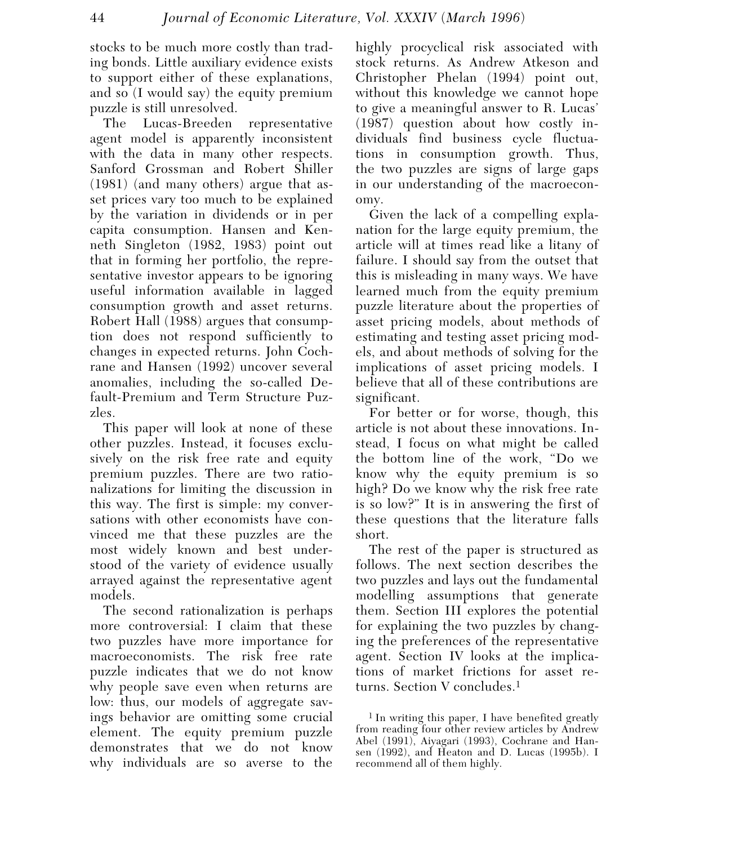stocks to be much more costly than trading bonds. Little auxiliary evidence exists to support either of these explanations, and so (I would say) the equity premium puzzle is still unresolved.

The Lucas-Breeden representative agent model is apparently inconsistent with the data in many other respects. Sanford Grossman and Robert Shiller (1981) (and many others) argue that asset prices vary too much to be explained by the variation in dividends or in per capita consumption. Hansen and Kenneth Singleton (1982, 1983) point out that in forming her portfolio, the representative investor appears to be ignoring useful information available in lagged consumption growth and asset returns. Robert Hall (1988) argues that consumption does not respond sufficiently to changes in expected returns. John Cochrane and Hansen (1992) uncover several anomalies, including the so-called Default-Premium and Term Structure Puzzles.

This paper will look at none of these other puzzles. Instead, it focuses exclusively on the risk free rate and equity premium puzzles. There are two rationalizations for limiting the discussion in this way. The first is simple: my conversations with other economists have convinced me that these puzzles are the most widely known and best understood of the variety of evidence usually arrayed against the representative agent models.

The second rationalization is perhaps more controversial: I claim that these two puzzles have more importance for macroeconomists. The risk free rate puzzle indicates that we do not know why people save even when returns are low: thus, our models of aggregate savings behavior are omitting some crucial element. The equity premium puzzle demonstrates that we do not know why individuals are so averse to the

highly procyclical risk associated with stock returns. As Andrew Atkeson and Christopher Phelan (1994) point out, without this knowledge we cannot hope to give a meaningful answer to R. Lucas' (1987) question about how costly individuals find business cycle fluctuations in consumption growth. Thus, the two puzzles are signs of large gaps in our understanding of the macroeconomy.

Given the lack of a compelling explanation for the large equity premium, the article will at times read like a litany of failure. I should say from the outset that this is misleading in many ways. We have learned much from the equity premium puzzle literature about the properties of asset pricing models, about methods of estimating and testing asset pricing models, and about methods of solving for the implications of asset pricing models. I believe that all of these contributions are significant.

For better or for worse, though, this article is not about these innovations. Instead, I focus on what might be called the bottom line of the work, "Do we know why the equity premium is so high? Do we know why the risk free rate is so low?" It is in answering the first of these questions that the literature falls short.

The rest of the paper is structured as follows. The next section describes the two puzzles and lays out the fundamental modelling assumptions that generate them. Section III explores the potential for explaining the two puzzles by changing the preferences of the representative agent. Section IV looks at the implications of market frictions for asset returns. Section V concludes.1

1 In writing this paper, I have benefited greatly from reading four other review articles by Andrew Abel (1991), Aiyagari (1993), Cochrane and Hansen (1992), and Heaton and D. Lucas (1995b). I recommend all of them highly.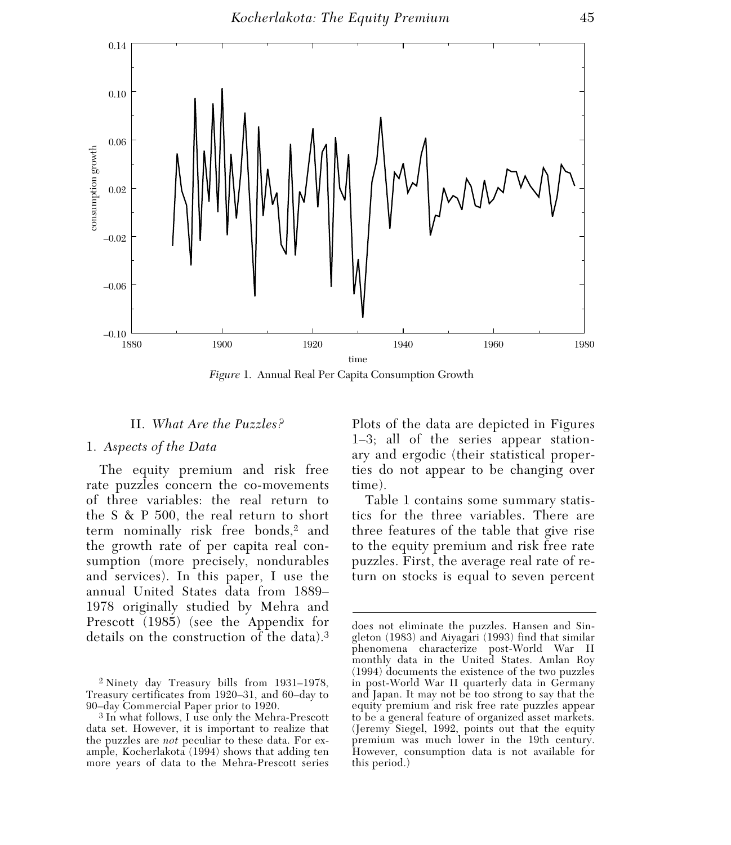

*Figure* 1. Annual Real Per Capita Consumption Growth

### II. *What Are the Puzzles?*

#### 1. *Aspects of the Data*

The equity premium and risk free rate puzzles concern the co-movements of three variables: the real return to the S & P 500, the real return to short term nominally risk free bonds,<sup>2</sup> and the growth rate of per capita real consumption (more precisely, nondurables and services). In this paper, I use the annual United States data from 1889– 1978 originally studied by Mehra and Prescott (1985) (see the Appendix for details on the construction of the data).3 Plots of the data are depicted in Figures 1–3; all of the series appear stationary and ergodic (their statistical properties do not appear to be changing over time).

Table 1 contains some summary statistics for the three variables. There are three features of the table that give rise to the equity premium and risk free rate puzzles. First, the average real rate of return on stocks is equal to seven percent

<sup>2</sup> Ninety day Treasury bills from 1931–1978, Treasury certificates from 1920–31, and 60–day to 90–day Commercial Paper prior to 1920.

<sup>3</sup> In what follows, I use only the Mehra-Prescott data set. However, it is important to realize that the puzzles are *not* peculiar to these data. For example, Kocherlakota (1994) shows that adding ten more years of data to the Mehra-Prescott series

does not eliminate the puzzles. Hansen and Singleton (1983) and Aiyagari (1993) find that similar phenomena characterize post-World War II monthly data in the United States. Amlan Roy (1994) documents the existence of the two puzzles in post-World War II quarterly data in Germany and Japan. It may not be too strong to say that the equity premium and risk free rate puzzles appear to be a general feature of organized asset markets. (Jeremy Siegel, 1992, points out that the equity premium was much lower in the 19th century. However, consumption data is not available for this period.)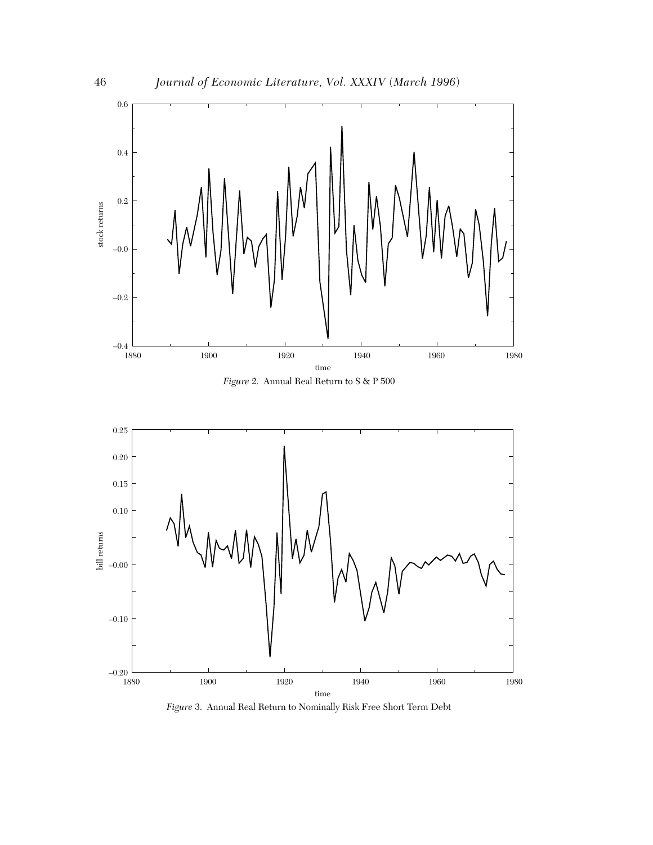





*Figure* 3. Annual Real Return to Nominally Risk Free Short Term Debt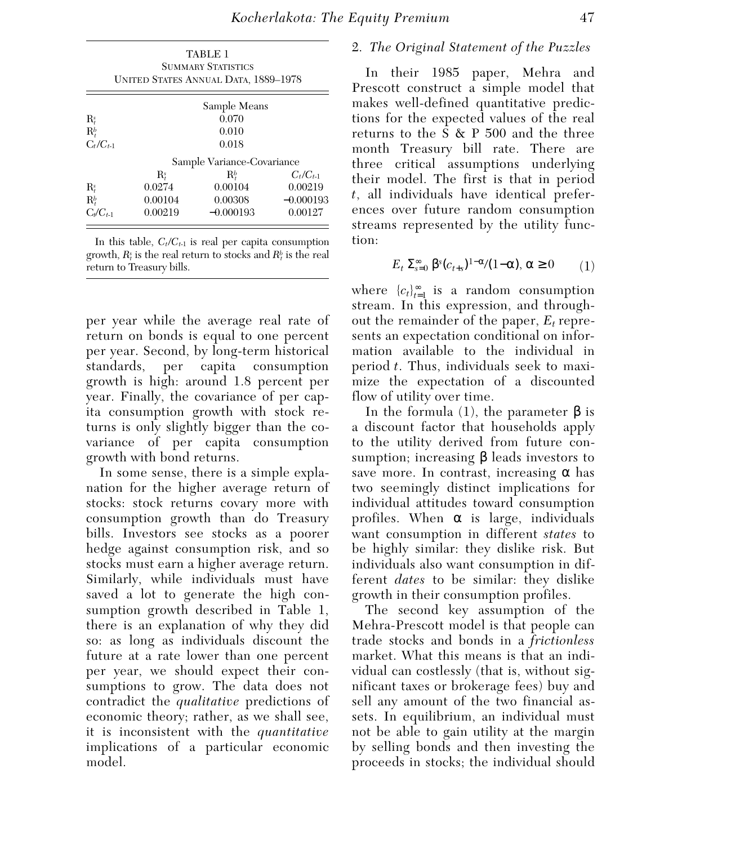|                      |                            | TABLE 1                                                           |               |  |
|----------------------|----------------------------|-------------------------------------------------------------------|---------------|--|
|                      |                            | <b>SUMMARY STATISTICS</b><br>UNITED STATES ANNUAL DATA, 1889–1978 |               |  |
|                      |                            |                                                                   |               |  |
|                      | Sample Means               |                                                                   |               |  |
| $\mathbf{R}_{t}^{s}$ | 0.070                      |                                                                   |               |  |
| $\mathbf{R}_{t}^{b}$ | 0.010                      |                                                                   |               |  |
| $C_t/C_{t-1}$        | 0.018                      |                                                                   |               |  |
|                      | Sample Variance-Covariance |                                                                   |               |  |
|                      | $\mathbf{R}_{t}^{s}$       | $\mathbb{R}^b$                                                    | $C_t/C_{t-1}$ |  |
| $\mathbf{R}_{t}^{s}$ | 0.0274                     | 0.00104                                                           | 0.00219       |  |
| $\mathbf{R}_{t}^{b}$ | 0.00104                    | 0.00308                                                           | $-0.000193$   |  |
| $C_t/C_{t-1}$        | 0.00219                    | $-0.000193$                                                       | 0.00127       |  |

In this table,  $C_t/C_{t-1}$  is real per capita consumption growth,  $R_t^s$  is the real return to stocks and  $R_t^b$  is the real return to Treasury bills.

per year while the average real rate of return on bonds is equal to one percent per year. Second, by long-term historical standards, per capita consumption growth is high: around 1.8 percent per year. Finally, the covariance of per capita consumption growth with stock returns is only slightly bigger than the covariance of per capita consumption growth with bond returns.

In some sense, there is a simple explanation for the higher average return of stocks: stock returns covary more with consumption growth than do Treasury bills. Investors see stocks as a poorer hedge against consumption risk, and so stocks must earn a higher average return. Similarly, while individuals must have saved a lot to generate the high consumption growth described in Table 1, there is an explanation of why they did so: as long as individuals discount the future at a rate lower than one percent per year, we should expect their consumptions to grow. The data does not contradict the *qualitative* predictions of economic theory; rather, as we shall see, it is inconsistent with the *quantitative* implications of a particular economic model.

## 2. *The Original Statement of the Puzzles*

In their 1985 paper, Mehra and Prescott construct a simple model that makes well-defined quantitative predictions for the expected values of the real returns to the S & P 500 and the three month Treasury bill rate. There are three critical assumptions underlying their model. The first is that in period *t*, all individuals have identical preferences over future random consumption streams represented by the utility function:

$$
E_t \Sigma_{s=0}^{\infty} \beta^s (c_{t+s})^{1-\alpha}/(1-\alpha), \alpha \ge 0 \qquad (1)
$$

where  ${c_t}_{t=1}^{\infty}$  is a random consumption stream. In this expression, and throughout the remainder of the paper, *Et* represents an expectation conditional on information available to the individual in period *t*. Thus, individuals seek to maximize the expectation of a discounted flow of utility over time.

In the formula (1), the parameter  $β$  is a discount factor that households apply to the utility derived from future consumption; increasing  $\beta$  leads investors to save more. In contrast, increasing  $\alpha$  has two seemingly distinct implications for individual attitudes toward consumption profiles. When  $\alpha$  is large, individuals want consumption in different *states* to be highly similar: they dislike risk. But individuals also want consumption in different *dates* to be similar: they dislike growth in their consumption profiles.

The second key assumption of the Mehra-Prescott model is that people can trade stocks and bonds in a *frictionless* market. What this means is that an individual can costlessly (that is, without significant taxes or brokerage fees) buy and sell any amount of the two financial assets. In equilibrium, an individual must not be able to gain utility at the margin by selling bonds and then investing the proceeds in stocks; the individual should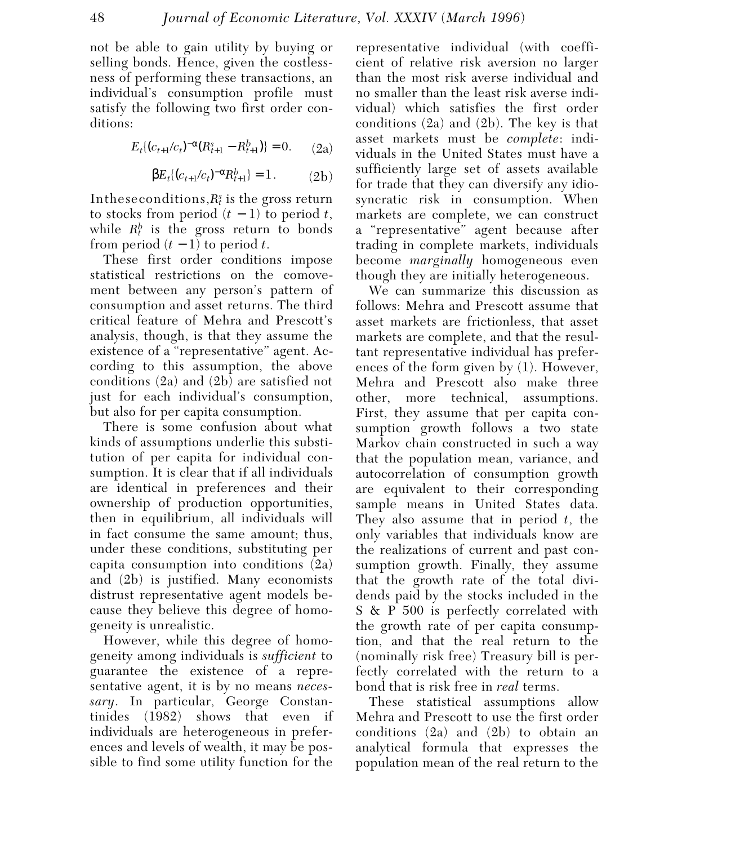not be able to gain utility by buying or selling bonds. Hence, given the costlessness of performing these transactions, an individual's consumption profile must satisfy the following two first order conditions:

$$
E_t\{(c_{t+1}/c_t)^{-\alpha}(R_{t+1}^s - R_{t+1}^b)\} = 0. \qquad (2a)
$$

$$
\beta E_t \{ (c_{t+1}/c_t)^{-\alpha} R_{t+1}^b \} = 1. \tag{2b}
$$

In these conditions,  $R_t^s$  is the gross return to stocks from period  $(t-1)$  to period  $t$ , while  $R_t^b$  is the gross return to bonds from period  $(t-1)$  to period  $t$ .

These first order conditions impose statistical restrictions on the comovement between any person's pattern of consumption and asset returns. The third critical feature of Mehra and Prescott's analysis, though, is that they assume the existence of a "representative" agent. According to this assumption, the above conditions (2a) and (2b) are satisfied not just for each individual's consumption, but also for per capita consumption.

There is some confusion about what kinds of assumptions underlie this substitution of per capita for individual consumption. It is clear that if all individuals are identical in preferences and their ownership of production opportunities, then in equilibrium, all individuals will in fact consume the same amount; thus, under these conditions, substituting per capita consumption into conditions (2a) and (2b) is justified. Many economists distrust representative agent models because they believe this degree of homogeneity is unrealistic.

However, while this degree of homogeneity among individuals is *sufficient* to guarantee the existence of a representative agent, it is by no means *necessary*. In particular, George Constantinides (1982) shows that even if individuals are heterogeneous in preferences and levels of wealth, it may be possible to find some utility function for the

representative individual (with coefficient of relative risk aversion no larger than the most risk averse individual and no smaller than the least risk averse individual) which satisfies the first order conditions (2a) and (2b). The key is that asset markets must be *complete*: individuals in the United States must have a sufficiently large set of assets available for trade that they can diversify any idiosyncratic risk in consumption. When markets are complete, we can construct a "representative" agent because after trading in complete markets, individuals become *marginally* homogeneous even though they are initially heterogeneous.

We can summarize this discussion as follows: Mehra and Prescott assume that asset markets are frictionless, that asset markets are complete, and that the resultant representative individual has preferences of the form given by (1). However, Mehra and Prescott also make three other, more technical, assumptions. First, they assume that per capita consumption growth follows a two state Markov chain constructed in such a way that the population mean, variance, and autocorrelation of consumption growth are equivalent to their corresponding sample means in United States data. They also assume that in period *t*, the only variables that individuals know are the realizations of current and past consumption growth. Finally, they assume that the growth rate of the total dividends paid by the stocks included in the S & P 500 is perfectly correlated with the growth rate of per capita consumption, and that the real return to the (nominally risk free) Treasury bill is perfectly correlated with the return to a bond that is risk free in *real* terms.

These statistical assumptions allow Mehra and Prescott to use the first order conditions (2a) and (2b) to obtain an analytical formula that expresses the population mean of the real return to the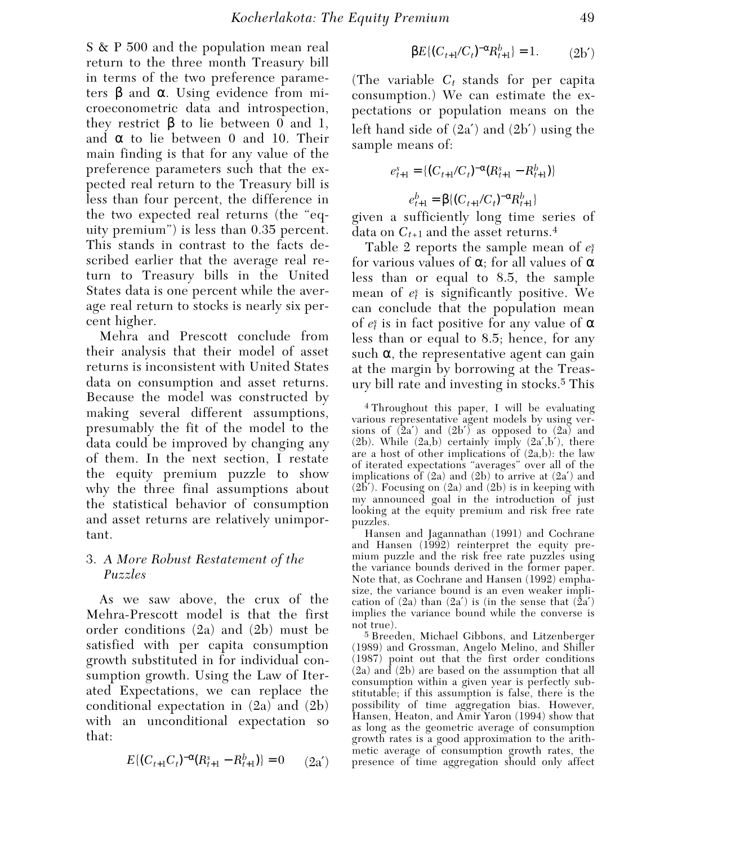S & P 500 and the population mean real return to the three month Treasury bill in terms of the two preference parameters β and  $\alpha$ . Using evidence from microeconometric data and introspection, they restrict  $\beta$  to lie between 0 and 1, and  $\alpha$  to lie between 0 and 10. Their main finding is that for any value of the preference parameters such that the expected real return to the Treasury bill is less than four percent, the difference in the two expected real returns (the "equity premium") is less than 0.35 percent. This stands in contrast to the facts described earlier that the average real return to Treasury bills in the United States data is one percent while the average real return to stocks is nearly six percent higher.

Mehra and Prescott conclude from their analysis that their model of asset returns is inconsistent with United States data on consumption and asset returns. Because the model was constructed by making several different assumptions, presumably the fit of the model to the data could be improved by changing any of them. In the next section, I restate the equity premium puzzle to show why the three final assumptions about the statistical behavior of consumption and asset returns are relatively unimportant.

## 3. *A More Robust Restatement of the Puzzles*

As we saw above, the crux of the Mehra-Prescott model is that the first order conditions (2a) and (2b) must be satisfied with per capita consumption growth substituted in for individual consumption growth. Using the Law of Iterated Expectations, we can replace the conditional expectation in (2a) and (2b) with an unconditional expectation so that:

$$
E\{(C_{t+1}C_t)^{-\alpha}(R_{t+1}^s - R_{t+1}^b)\} = 0 \qquad (2a')
$$

$$
\beta E\{(C_{t+1}/C_t)^{-\alpha} R_{t+1}^b\} = 1. \tag{2b'}
$$

(The variable  $C_t$  stands for per capita consumption.) We can estimate the expectations or population means on the left hand side of (2a′) and (2b′) using the sample means of:

$$
e_{t+1}^s = \{ (C_{t+1}/C_t)^{-\alpha} (R_{t+1}^s - R_{t+1}^b) \}
$$

$$
e_{t+1}^b = \beta \{ (C_{t+1}/C_t)^{-\alpha} R_{t+1}^b \}
$$

given a sufficiently long time series of data on *Ct*+1 and the asset returns.4

Table 2 reports the sample mean of *et s* for various values of  $\alpha$ ; for all values of  $\alpha$ less than or equal to 8.5, the sample mean of  $e_t^s$  is significantly positive. We can conclude that the population mean of  $e_{\v t}$  is in fact positive for any value of  $\alpha$ less than or equal to 8.5; hence, for any such  $\alpha$ , the representative agent can gain at the margin by borrowing at the Treasury bill rate and investing in stocks.5 This

4 Throughout this paper, I will be evaluating various representative agent models by using versions of  $(2a')$  and  $(2b')$  as opposed to  $(2a)$  and  $(2b)$ . While  $(2a,b)$  certainly imply  $(2a',b')$ , there are a host of other implications of  $(2a,b)$ : the law of iterated expectations "averages" over all of the implications of  $(2a)$  and  $(2b)$  to arrive at  $(2a')$  and  $(2\overline{b}')$ . Focusing on  $(2a)$  and  $(2b)$  is in keeping with my announced goal in the introduction of just looking at the equity premium and risk free rate puzzles.

Hansen and Jagannathan (1991) and Cochrane and Hansen (1992) reinterpret the equity premium puzzle and the risk free rate puzzles using the variance bounds derived in the former paper. Note that, as Cochrane and Hansen (1992) emphasize, the variance bound is an even weaker implication of  $(2a)$  than  $(2a')$  is (in the sense that  $(2a')$ implies the variance bound while the converse is not true).

5 Breeden, Michael Gibbons, and Litzenberger (1989) and Grossman, Angelo Melino, and Shiller (1987) point out that the first order conditions (2a) and (2b) are based on the assumption that all consumption within a given year is perfectly substitutable; if this assumption is false, there is the possibility of time aggregation bias. However, Hansen, Heaton, and Amir Yaron (1994) show that as long as the geometric average of consumption growth rates is a good approximation to the arithmetic average of consumption growth rates, the presence of time aggregation should only affect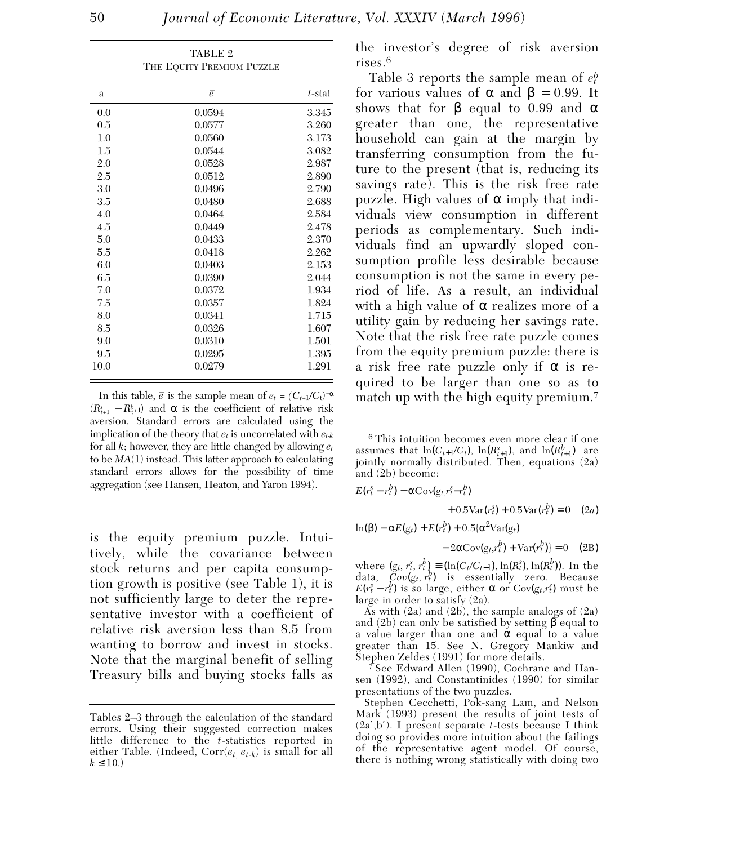| THE EQUITY PREMIUM PUZZLE |                |           |  |  |
|---------------------------|----------------|-----------|--|--|
| a                         | $\overline{e}$ | $t$ -stat |  |  |
| 0.0                       | 0.0594         | 3.345     |  |  |
| 0.5                       | 0.0577         | 3.260     |  |  |
| 1.0                       | 0.0560         | 3.173     |  |  |
| 1.5                       | 0.0544         | 3.082     |  |  |
| 2.0                       | 0.0528         | 2.987     |  |  |
| 2.5                       | 0.0512         | 2.890     |  |  |
| 3.0                       | 0.0496         | 2.790     |  |  |
| 3.5                       | 0.0480         | 2.688     |  |  |
| 4.0                       | 0.0464         | 2.584     |  |  |
| 4.5                       | 0.0449         | 2.478     |  |  |
| 5.0                       | 0.0433         | 2.370     |  |  |
| 5.5                       | 0.0418         | 2.262     |  |  |
| 6.0                       | 0.0403         | 2.153     |  |  |
| 6.5                       | 0.0390         | 2.044     |  |  |
| 7.0                       | 0.0372         | 1.934     |  |  |
| 7.5                       | 0.0357         | 1.824     |  |  |
| 8.0                       | 0.0341         | 1.715     |  |  |
| 8.5                       | 0.0326         | 1.607     |  |  |
| 9.0                       | 0.0310         | 1.501     |  |  |
| 9.5                       | 0.0295         | 1.395     |  |  |
| 10.0                      | 0.0279         | 1.291     |  |  |

TABLE 2

In this table,  $\bar{e}$  is the sample mean of  $e_t = (C_{t+1}/C_t)^{-\alpha}$  $(R_{t+1}^s - R_{t+1}^b)$  and  $\alpha$  is the coefficient of relative risk aversion. Standard errors are calculated using the implication of the theory that  $e_t$  is uncorrelated with  $e_{t,k}$ for all *k*; however, they are little changed by allowing *et* to be *MA*(1) instead. This latter approach to calculating standard errors allows for the possibility of time aggregation (see Hansen, Heaton, and Yaron 1994).

is the equity premium puzzle. Intuitively, while the covariance between stock returns and per capita consumption growth is positive (see Table 1), it is not sufficiently large to deter the representative investor with a coefficient of relative risk aversion less than 8.5 from wanting to borrow and invest in stocks. Note that the marginal benefit of selling Treasury bills and buying stocks falls as

the investor's degree of risk aversion rises.6

Table 3 reports the sample mean of *et b* for various values of α and β = 0.99. It shows that for  $\beta$  equal to 0.99 and  $\alpha$ greater than one, the representative household can gain at the margin by transferring consumption from the future to the present (that is, reducing its savings rate). This is the risk free rate puzzle. High values of  $\alpha$  imply that individuals view consumption in different periods as complementary. Such individuals find an upwardly sloped consumption profile less desirable because consumption is not the same in every period of life. As a result, an individual with a high value of  $\alpha$  realizes more of a utility gain by reducing her savings rate. Note that the risk free rate puzzle comes from the equity premium puzzle: there is a risk free rate puzzle only if  $\alpha$  is required to be larger than one so as to match up with the high equity premium.<sup>7</sup>

6 This intuition becomes even more clear if one assumes that  $\ln(C_{t+1}/C_t)$ ,  $\ln(R_{t+1}^s)$ , and  $\ln(R_{t+1}^b)$  are jointly normally distributed. Then, equations (2a) and (2b) become:

$$
E(r_t^s - r_t^b) - \alpha \text{Cov}(g_t, r_t^s - r_t^b)
$$

$$
+ 0.5 \text{Var}(r_t^s) + 0.5 \text{Var}(r_t^b) = 0 \quad (2a)
$$

 $ln(β) - αE(g_t) + E(r_t^b) + 0.5[α^2Var(g_t)]$ 

$$
-2\alpha \operatorname{Cov}(g_t, r_t^b) + \operatorname{Var}(r_t^b) = 0 \quad (2B)
$$

where  $(g_t, r_t^s, r_t^b) \equiv (\ln(C_t/C_{t-1}), \ln(R_t^s), \ln(R_t^b))$ . In the data,  $Cov(g_t, r_t^b)$  is essentially zero. Because  $E(r_t^s - r_t^b)$  is so large, either  $\alpha$  or Cov(*gt*,*rt*<sup>3</sup>) must be large in order to satisfy (2a).

As with  $(2a)$  and  $(2b)$ , the sample analogs of  $(2a)$ and (2b) can only be satisfied by setting  $\beta$  equal to a value larger than one and  $\alpha$  equal to a value greater than 15. See N. Gregory Mankiw and Stephen Zeldes (1991) for more details.

7 See Edward Allen (1990), Cochrane and Hansen (1992), and Constantinides (1990) for similar presentations of the two puzzles.

 Stephen Cecchetti, Pok-sang Lam, and Nelson Mark (1993) present the results of joint tests of (2a′,b′). I present separate *t*-tests because I think doing so provides more intuition about the failings of the representative agent model. Of course, there is nothing wrong statistically with doing two

Tables 2–3 through the calculation of the standard errors. Using their suggested correction makes little difference to the *t*-statistics reported in either Table. (Indeed,  $Corr(e_t, e_t, k)$  is small for all  $k \le 10.$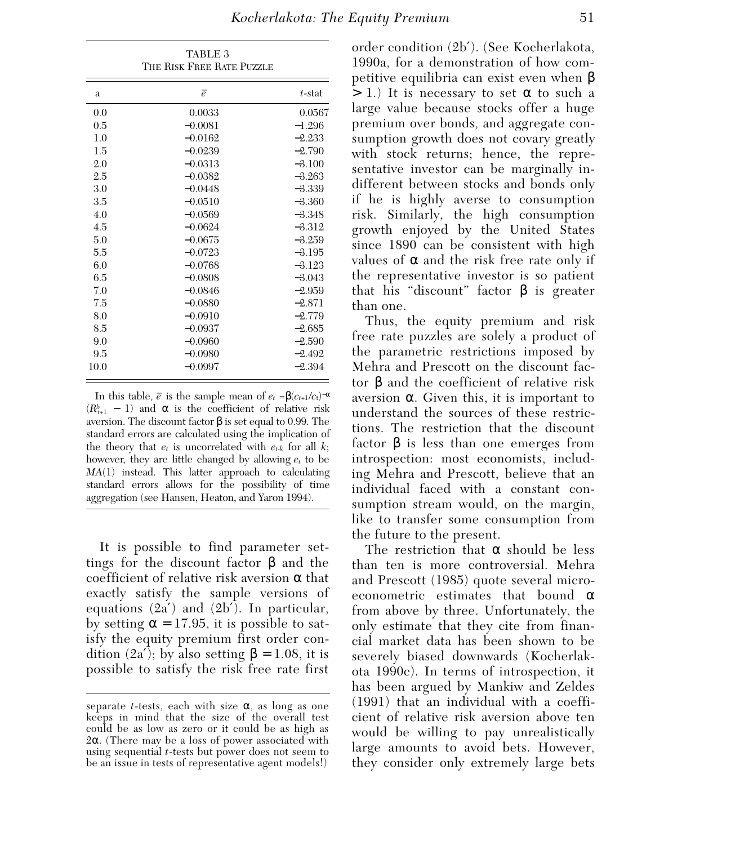THE RISK FREE RATE PUZZLE a e<sup> $\overline{e}$ </sup> t-stat 0.0 0.0033 0.0567 0.5  $-0.0081$   $-1.296$ <br>1.0  $-0.0162$   $-2.233$ 1.0  $-0.0162$   $-2.233$ <br>1.5  $-0.0239$   $-2.790$  $1.5$  −0.0239 2.0  $-0.0313$   $-3.100$ <br>2.5  $-0.0382$   $-3.263$ 2.5  $-0.0382$   $-3.263$ <br>3.0  $-0.0448$   $-3.339$  $3.0$  −0.0448  $-3.5$   $-0.0510$   $-3.360$  $4.0$   $-0.0569$   $-3.348$ <br> $4.5$   $-0.0624$   $-3.312$ 4.5 −0.0624  $-0.0675$   $-3.259$  $-5.5$   $-0.0723$   $-3.195$ <br>6.0  $-0.0768$   $-3.123$  $6.0$  −0.0768  $-6.5$   $-0.0808$   $-3.043$ <br>  $-0.0846$   $-2.959$  $7.0$   $-0.0846$   $-2.959$ <br> $7.5$   $-0.0880$   $-2.871$  $7.5$  −0.0880 8.0 −0.0910 −2.779  $8.5$   $-0.0937$   $-2.685$ <br>  $9.0$   $-0.0960$   $-2.590$  $9.0$  −0.0960 9.5 −0.0980 −2.492 10.0 −0.0997 −2.394

TABLE 3

In this table,  $\bar{e}$  is the sample mean of  $e_t = \beta(c_{t+1}/c_t)^{-\alpha}$  $(R_{t+1}^b - 1)$  and  $\alpha$  is the coefficient of relative risk aversion. The discount factor β is set equal to 0.99. The standard errors are calculated using the implication of the theory that  $e_t$  is uncorrelated with  $e_{t,k}$  for all  $k$ ; however, they are little changed by allowing *et* to be *MA*(1) instead. This latter approach to calculating standard errors allows for the possibility of time aggregation (see Hansen, Heaton, and Yaron 1994).

It is possible to find parameter settings for the discount factor  $β$  and the coefficient of relative risk aversion  $\alpha$  that exactly satisfy the sample versions of equations  $(2a')$  and  $(2b')$ . In particular, by setting  $\alpha = 17.95$ , it is possible to satisfy the equity premium first order condition  $(2a')$ ; by also setting  $β = 1.08$ , it is possible to satisfy the risk free rate first

order condition (2b′). (See Kocherlakota, 1990a, for a demonstration of how competitive equilibria can exist even when β  $> 1$ .) It is necessary to set  $\alpha$  to such a large value because stocks offer a huge premium over bonds, and aggregate consumption growth does not covary greatly with stock returns; hence, the representative investor can be marginally indifferent between stocks and bonds only if he is highly averse to consumption risk. Similarly, the high consumption growth enjoyed by the United States since 1890 can be consistent with high values of  $\alpha$  and the risk free rate only if the representative investor is so patient that his "discount" factor  $\beta$  is greater than one.

Thus, the equity premium and risk free rate puzzles are solely a product of the parametric restrictions imposed by Mehra and Prescott on the discount factor β and the coefficient of relative risk aversion α. Given this, it is important to understand the sources of these restrictions. The restriction that the discount factor β is less than one emerges from introspection: most economists, including Mehra and Prescott, believe that an individual faced with a constant consumption stream would, on the margin, like to transfer some consumption from the future to the present.

The restriction that  $\alpha$  should be less than ten is more controversial. Mehra and Prescott (1985) quote several microeconometric estimates that bound  $\alpha$ from above by three. Unfortunately, the only estimate that they cite from financial market data has been shown to be severely biased downwards (Kocherlakota 1990c). In terms of introspection, it has been argued by Mankiw and Zeldes (1991) that an individual with a coefficient of relative risk aversion above ten would be willing to pay unrealistically large amounts to avoid bets. However, they consider only extremely large bets

separate *t*-tests, each with size  $\alpha$ , as long as one keeps in mind that the size of the overall test could be as low as zero or it could be as high as 2α. (There may be a loss of power associated with using sequential *t*-tests but power does not seem to be an issue in tests of representative agent models!)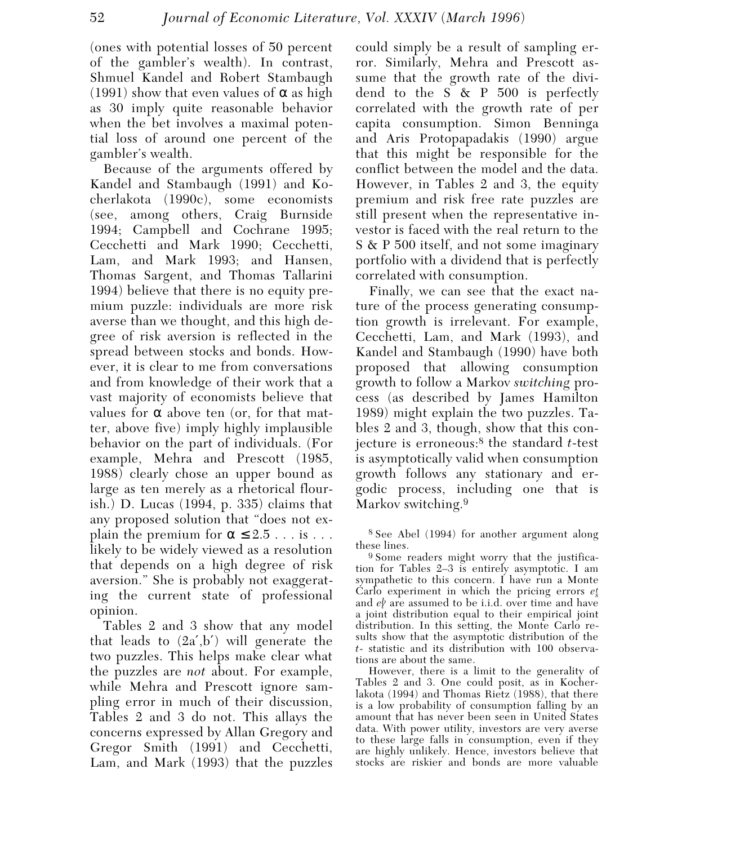(ones with potential losses of 50 percent of the gambler's wealth). In contrast, Shmuel Kandel and Robert Stambaugh (1991) show that even values of  $\alpha$  as high as 30 imply quite reasonable behavior when the bet involves a maximal potential loss of around one percent of the gambler's wealth.

Because of the arguments offered by Kandel and Stambaugh (1991) and Kocherlakota (1990c), some economists (see, among others, Craig Burnside 1994; Campbell and Cochrane 1995; Cecchetti and Mark 1990; Cecchetti, Lam, and Mark 1993; and Hansen, Thomas Sargent, and Thomas Tallarini 1994) believe that there is no equity premium puzzle: individuals are more risk averse than we thought, and this high degree of risk aversion is reflected in the spread between stocks and bonds. However, it is clear to me from conversations and from knowledge of their work that a vast majority of economists believe that values for  $\alpha$  above ten (or, for that matter, above five) imply highly implausible behavior on the part of individuals. (For example, Mehra and Prescott (1985, 1988) clearly chose an upper bound as large as ten merely as a rhetorical flourish.) D. Lucas (1994, p. 335) claims that any proposed solution that "does not explain the premium for  $\alpha \leq 2.5$ ... is ... likely to be widely viewed as a resolution that depends on a high degree of risk aversion." She is probably not exaggerating the current state of professional opinion.

Tables 2 and 3 show that any model that leads to  $(2a',b')$  will generate the two puzzles. This helps make clear what the puzzles are *not* about. For example, while Mehra and Prescott ignore sampling error in much of their discussion, Tables 2 and 3 do not. This allays the concerns expressed by Allan Gregory and Gregor Smith (1991) and Cecchetti, Lam, and Mark (1993) that the puzzles could simply be a result of sampling error. Similarly, Mehra and Prescott assume that the growth rate of the dividend to the S & P 500 is perfectly correlated with the growth rate of per capita consumption. Simon Benninga and Aris Protopapadakis (1990) argue that this might be responsible for the conflict between the model and the data. However, in Tables 2 and 3, the equity premium and risk free rate puzzles are still present when the representative investor is faced with the real return to the S & P 500 itself, and not some imaginary portfolio with a dividend that is perfectly correlated with consumption.

Finally, we can see that the exact nature of the process generating consumption growth is irrelevant. For example, Cecchetti, Lam, and Mark (1993), and Kandel and Stambaugh (1990) have both proposed that allowing consumption growth to follow a Markov *switching* process (as described by James Hamilton 1989) might explain the two puzzles. Tables 2 and 3, though, show that this conjecture is erroneous:8 the standard *t*-test is asymptotically valid when consumption growth follows any stationary and ergodic process, including one that is Markov switching.<sup>9</sup>

8 See Abel (1994) for another argument along these lines.

9 Some readers might worry that the justification for Tables 2–3 is entirely asymptotic. I am sympathetic to this concern. I have run a Monte Carlo experiment in which the pricing errors *es t* and  $e^b$  are assumed to be i.i.d. over time and have a joint distribution equal to their empirical joint distribution. In this setting, the Monte Carlo results show that the asymptotic distribution of the *t*- statistic and its distribution with 100 observations are about the same.

However, there is a limit to the generality of Tables 2 and 3. One could posit, as in Kocherlakota (1994) and Thomas Rietz (1988), that there is a low probability of consumption falling by an amount that has never been seen in United States data. With power utility, investors are very averse to these large falls in consumption, even if they are highly unlikely. Hence, investors believe that stocks are riskier and bonds are more valuable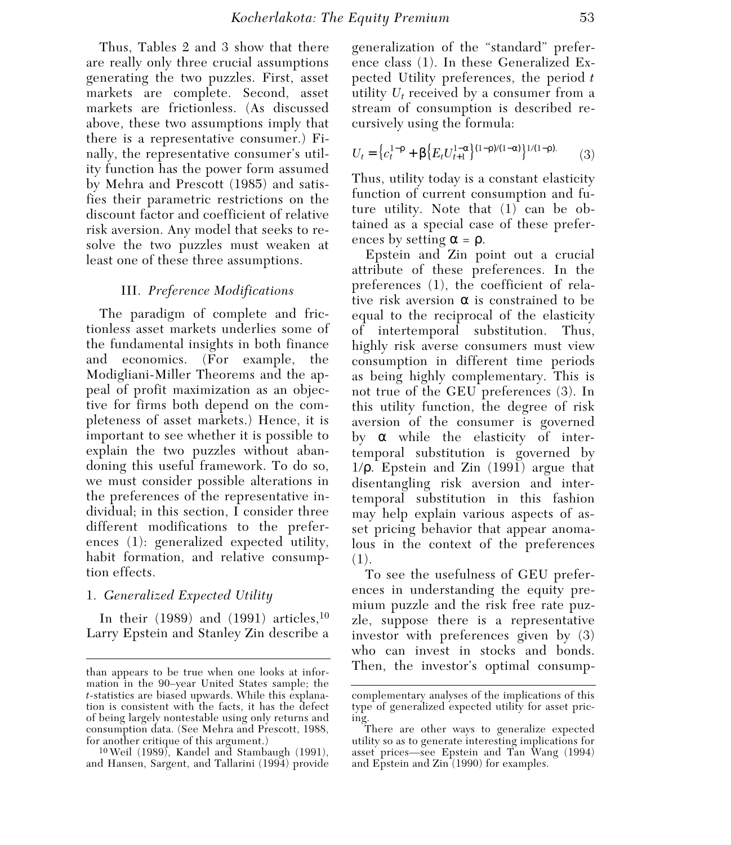Thus, Tables 2 and 3 show that there are really only three crucial assumptions generating the two puzzles. First, asset markets are complete. Second, asset markets are frictionless. (As discussed above, these two assumptions imply that there is a representative consumer.) Finally, the representative consumer's utility function has the power form assumed by Mehra and Prescott (1985) and satisfies their parametric restrictions on the discount factor and coefficient of relative risk aversion. Any model that seeks to resolve the two puzzles must weaken at least one of these three assumptions.

#### III. *Preference Modifications*

The paradigm of complete and frictionless asset markets underlies some of the fundamental insights in both finance and economics. (For example, the Modigliani-Miller Theorems and the appeal of profit maximization as an objective for firms both depend on the completeness of asset markets.) Hence, it is important to see whether it is possible to explain the two puzzles without abandoning this useful framework. To do so, we must consider possible alterations in the preferences of the representative individual; in this section, I consider three different modifications to the preferences (1): generalized expected utility, habit formation, and relative consumption effects.

## 1. *Generalized Expected Utility*

In their  $(1989)$  and  $(1991)$  articles,<sup>10</sup> Larry Epstein and Stanley Zin describe a

10 Weil (1989), Kandel and Stambaugh (1991), and Hansen, Sargent, and Tallarini (1994) provide generalization of the "standard" preference class (1). In these Generalized Expected Utility preferences, the period *t* utility *Ut* received by a consumer from a stream of consumption is described recursively using the formula:

$$
U_t = \left\{ c_t^{1-\rho} + \beta \left\{ E_t U_{t+1}^{1-\alpha} \right\}^{(1-\rho)/(1-\alpha)} \right\}^{1/(1-\rho).} \tag{3}
$$

Thus, utility today is a constant elasticity function of current consumption and future utility. Note that (1) can be obtained as a special case of these preferences by setting  $\alpha = \rho$ .

Epstein and Zin point out a crucial attribute of these preferences. In the preferences (1), the coefficient of relative risk aversion  $\alpha$  is constrained to be equal to the reciprocal of the elasticity of intertemporal substitution. Thus, highly risk averse consumers must view consumption in different time periods as being highly complementary. This is not true of the GEU preferences (3). In this utility function, the degree of risk aversion of the consumer is governed by  $\alpha$  while the elasticity of intertemporal substitution is governed by 1/ρ. Epstein and Zin (1991) argue that disentangling risk aversion and intertemporal substitution in this fashion may help explain various aspects of asset pricing behavior that appear anomalous in the context of the preferences (1).

To see the usefulness of GEU preferences in understanding the equity premium puzzle and the risk free rate puzzle, suppose there is a representative investor with preferences given by (3) who can invest in stocks and bonds. Then, the investor's optimal consump- than appears to be true when one looks at infor-

mation in the 90–year United States sample; the *t*-statistics are biased upwards. While this explanation is consistent with the facts, it has the defect of being largely nontestable using only returns and consumption data. (See Mehra and Prescott, 1988, for another critique of this argument.)

complementary analyses of the implications of this type of generalized expected utility for asset pricing.

There are other ways to generalize expected utility so as to generate interesting implications for asset prices—see Epstein and Tan Wang (1994) and Epstein and Zin (1990) for examples.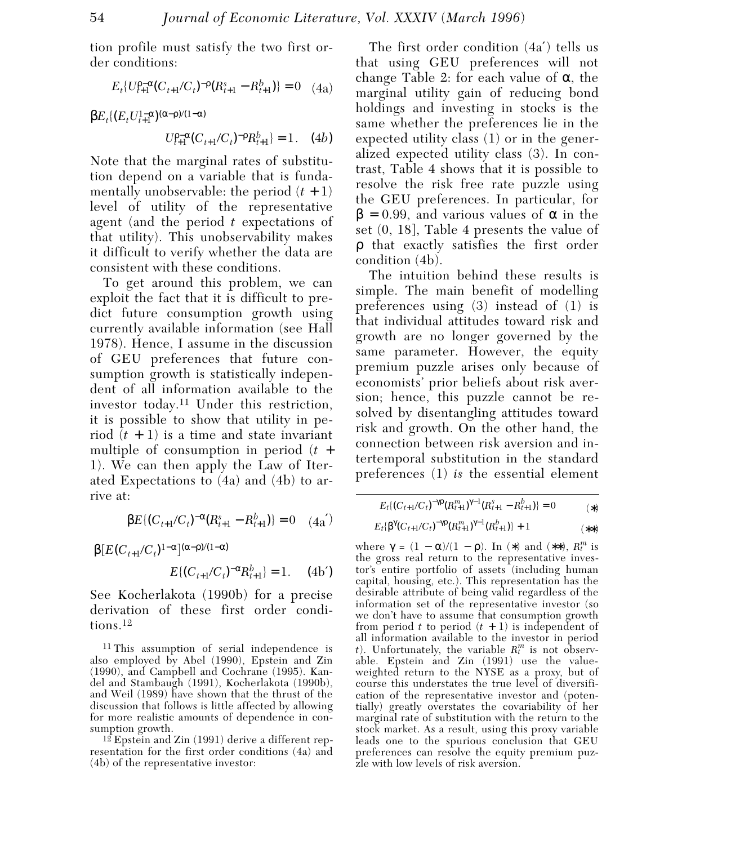tion profile must satisfy the two first order conditions:

$$
E_t\{U_{t+1}^{p-\alpha}(C_{t+1}/C_t)^{-p}(R_{t+1}^s - R_{t+1}^b)\} = 0 \quad (4a)
$$

 $βE_t$ {( $E_t U_{t+1}^{1-α}$ )<sup>(α-ρ)/(1−α)</sup>

$$
U_{t+1}^{\rho-\alpha}(C_{t+1}/C_t)^{-\rho}R_{t+1}^b = 1. \quad (4b)
$$

Note that the marginal rates of substitution depend on a variable that is fundamentally unobservable: the period  $(t + 1)$ level of utility of the representative agent (and the period *t* expectations of that utility). This unobservability makes it difficult to verify whether the data are consistent with these conditions.

To get around this problem, we can exploit the fact that it is difficult to predict future consumption growth using currently available information (see Hall 1978). Hence, I assume in the discussion of GEU preferences that future consumption growth is statistically independent of all information available to the investor today.11 Under this restriction, it is possible to show that utility in period  $(t + 1)$  is a time and state invariant multiple of consumption in period (*t* + 1). We can then apply the Law of Iterated Expectations to (4a) and (4b) to arrive at:

$$
\beta E\{ (C_{t+1}/C_t)^{-\alpha} (R_{t+1}^s - R_{t+1}^b) \} = 0 \quad (4a')
$$

$$
\begin{array}{ll} \beta[E(C_{t+1}/C_t)^{1-\alpha}](\alpha-\rho)/(1-\alpha) \\ \hspace{2.5cm} E\{(C_{t+1}/C_t)^{-\alpha}R_{t+1}^b\}=1. \end{array} \eqno{(4b')}
$$

See Kocherlakota (1990b) for a precise derivation of these first order conditions.12

11 This assumption of serial independence is also employed by Abel (1990), Epstein and Zin (1990), and Campbell and Cochrane (1995). Kandel and Stambaugh (1991), Kocherlakota (1990b), and Weil (1989) have shown that the thrust of the discussion that follows is little affected by allowing for more realistic amounts of dependence in consumption growth.

 $12$  Epstein and Zin (1991) derive a different representation for the first order conditions (4a) and (4b) of the representative investor:

The first order condition (4a′) tells us that using GEU preferences will not change Table 2: for each value of  $\alpha$ , the marginal utility gain of reducing bond holdings and investing in stocks is the same whether the preferences lie in the expected utility class (1) or in the generalized expected utility class (3). In contrast, Table 4 shows that it is possible to resolve the risk free rate puzzle using the GEU preferences. In particular, for  $β = 0.99$ , and various values of α in the set (0, 18], Table 4 presents the value of ρ that exactly satisfies the first order condition (4b).

The intuition behind these results is simple. The main benefit of modelling preferences using (3) instead of (1) is that individual attitudes toward risk and growth are no longer governed by the same parameter. However, the equity premium puzzle arises only because of economists' prior beliefs about risk aversion; hence, this puzzle cannot be resolved by disentangling attitudes toward risk and growth. On the other hand, the connection between risk aversion and intertemporal substitution in the standard preferences (1) *is* the essential element

$$
E_t\{(C_{t+1}/C_t)^{-\gamma\beta}(R_{t+1}^m)^{\gamma-1}(R_{t+1}^{\beta}-R_{t+1}^b)\}=0
$$
\n<sup>(\*)</sup>

$$
E_t\{\beta^{\gamma}(C_{t+1}/C_t)^{-\gamma p}(R_{t+1}^m)^{\gamma-1}(R_{t+1}^b)\}+1
$$
\n<sup>(\*\*)</sup>

where  $\gamma = (1 - \alpha)/(1 - \rho)$ . In (\*) and (\*\*),  $R_t^m$  is the gross real return to the representative investor's entire portfolio of assets (including human capital, housing, etc.). This representation has the desirable attribute of being valid regardless of the information set of the representative investor (so we don't have to assume that consumption growth from period  $t$  to period  $(t + 1)$  is independent of all information available to the investor in period *t*). Unfortunately, the variable  $R_t^m$  is not observable. Epstein and Zin (1991) use the valueweighted return to the NYSE as a proxy, but of course this understates the true level of diversification of the representative investor and (potentially) greatly overstates the covariability of her marginal rate of substitution with the return to the stock market. As a result, using this proxy variable leads one to the spurious conclusion that GEU preferences can resolve the equity premium puzzle with low levels of risk aversion.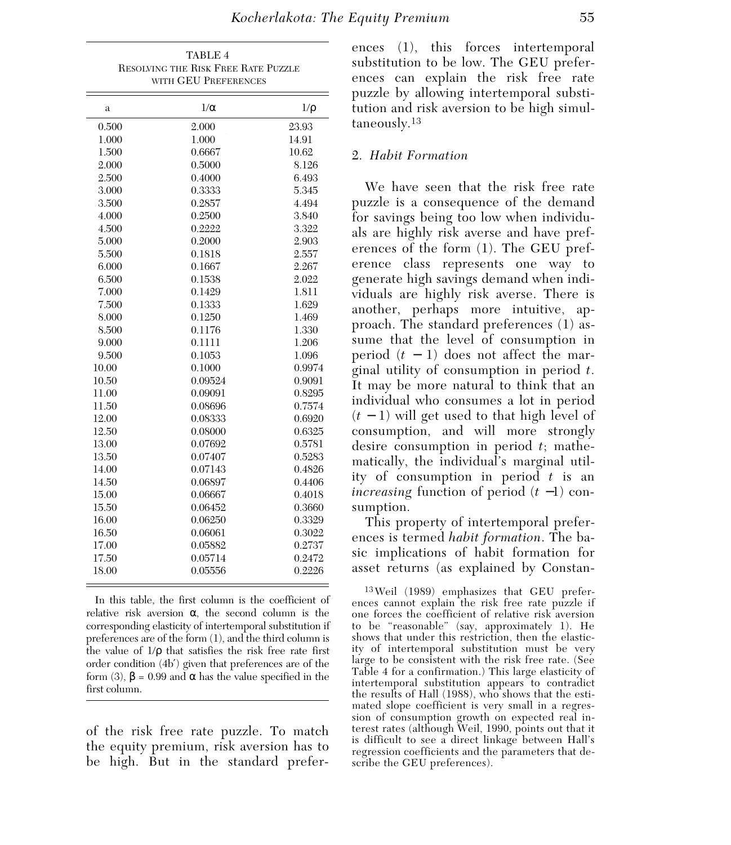| TABLE 4<br>RESOLVING THE RISK FREE RATE PUZZLE<br>WITH GEU PREFERENCES |            |          |  |  |
|------------------------------------------------------------------------|------------|----------|--|--|
|                                                                        |            |          |  |  |
| a                                                                      | $1/\alpha$ | $1/\rho$ |  |  |
| 0.500                                                                  | 2.000      | 23.93    |  |  |
| 1.000                                                                  | 1.000      | 14.91    |  |  |
| 1.500                                                                  | 0.6667     | 10.62    |  |  |
| 2.000                                                                  | 0.5000     | 8.126    |  |  |
| 2.500                                                                  | 0.4000     | 6.493    |  |  |
| 3.000                                                                  | 0.3333     | 5.345    |  |  |
| 3.500                                                                  | 0.2857     | 4.494    |  |  |
| 4.000                                                                  | 0.2500     | 3.840    |  |  |
| 4.500                                                                  | 0.2222     | 3.322    |  |  |
| 5.000                                                                  | 0.2000     | 2.903    |  |  |
| 5.500                                                                  | 0.1818     | 2.557    |  |  |
| 6.000                                                                  | 0.1667     | 2.267    |  |  |
| 6.500                                                                  | 0.1538     | 2.022    |  |  |
| 7.000                                                                  | 0.1429     | 1.811    |  |  |
| 7.500                                                                  | 0.1333     | 1.629    |  |  |
| 8.000                                                                  | 0.1250     | 1.469    |  |  |
| 8.500                                                                  | 0.1176     | 1.330    |  |  |
| 9.000                                                                  | 0.1111     | 1.206    |  |  |
| 9.500                                                                  | 0.1053     | 1.096    |  |  |
| 10.00                                                                  | 0.1000     | 0.9974   |  |  |
| 10.50                                                                  | 0.09524    | 0.9091   |  |  |
| 11.00                                                                  | 0.09091    | 0.8295   |  |  |
| 11.50                                                                  | 0.08696    | 0.7574   |  |  |
| 12.00                                                                  | 0.08333    | 0.6920   |  |  |
| 12.50                                                                  | 0.08000    | 0.6325   |  |  |
| 13.00                                                                  | 0.07692    | 0.5781   |  |  |
| 13.50                                                                  | 0.07407    | 0.5283   |  |  |
| 14.00                                                                  | 0.07143    | 0.4826   |  |  |
| 14.50                                                                  | 0.06897    | 0.4406   |  |  |
| 15.00                                                                  | 0.06667    | 0.4018   |  |  |
| 15.50                                                                  | 0.06452    | 0.3660   |  |  |
| 16.00                                                                  | 0.06250    | 0.3329   |  |  |
| 16.50                                                                  | 0.06061    | 0.3022   |  |  |
| 17.00                                                                  | 0.05882    | 0.2737   |  |  |
| 17.50                                                                  | 0.05714    | 0.2472   |  |  |
| 18.00                                                                  | 0.05556    | 0.2226   |  |  |

 In this table, the first column is the coefficient of relative risk aversion  $\alpha$ , the second column is the corresponding elasticity of intertemporal substitution if preferences are of the form (1), and the third column is the value of 1/ρ that satisfies the risk free rate first order condition (4b′) given that preferences are of the form (3), β = 0.99 and α has the value specified in the first column.

of the risk free rate puzzle. To match the equity premium, risk aversion has to be high. But in the standard prefer-

## 2. *Habit Formation*

We have seen that the risk free rate puzzle is a consequence of the demand for savings being too low when individuals are highly risk averse and have preferences of the form (1). The GEU preference class represents one way to generate high savings demand when individuals are highly risk averse. There is another, perhaps more intuitive, approach. The standard preferences (1) assume that the level of consumption in period  $(t - 1)$  does not affect the marginal utility of consumption in period *t*. It may be more natural to think that an individual who consumes a lot in period (*t* − 1) will get used to that high level of consumption, and will more strongly desire consumption in period *t*; mathematically, the individual's marginal utility of consumption in period *t* is an *increasing* function of period (*t* −1) consumption.

This property of intertemporal preferences is termed *habit formation*. The basic implications of habit formation for asset returns (as explained by Constan-

13 Weil (1989) emphasizes that GEU preferences cannot explain the risk free rate puzzle if one forces the coefficient of relative risk aversion to be "reasonable" (say, approximately 1). He shows that under this restriction, then the elasticity of intertemporal substitution must be very large to be consistent with the risk free rate. (See Table 4 for a confirmation.) This large elasticity of intertemporal substitution appears to contradict the results of Hall (1988), who shows that the estimated slope coefficient is very small in a regression of consumption growth on expected real interest rates (although Weil, 1990, points out that it is difficult to see a direct linkage between Hall's regression coefficients and the parameters that describe the GEU preferences).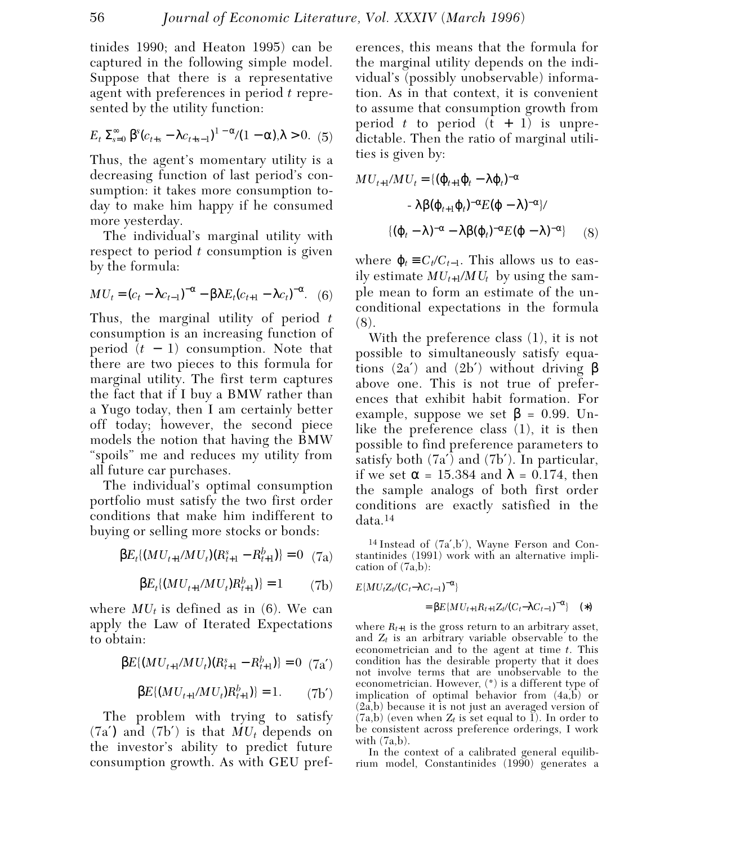tinides 1990; and Heaton 1995) can be captured in the following simple model. Suppose that there is a representative agent with preferences in period *t* represented by the utility function:

$$
E_t \Sigma_{s=0}^{\infty} \beta^{s} (c_{t+s} - \lambda c_{t+s-1})^{1-\alpha} / (1-\alpha), \lambda > 0. \tag{5}
$$

Thus, the agent's momentary utility is a decreasing function of last period's consumption: it takes more consumption today to make him happy if he consumed more yesterday.

The individual's marginal utility with respect to period *t* consumption is given by the formula:

$$
MU_t = (c_t - \lambda c_{t-1})^{-\alpha} - \beta \lambda E_t (c_{t+1} - \lambda c_t)^{-\alpha}.
$$
 (6)

Thus, the marginal utility of period *t* consumption is an increasing function of period (*t* − 1) consumption. Note that there are two pieces to this formula for marginal utility. The first term captures the fact that if I buy a BMW rather than a Yugo today, then I am certainly better off today; however, the second piece models the notion that having the BMW "spoils" me and reduces my utility from all future car purchases.

The individual's optimal consumption portfolio must satisfy the two first order conditions that make him indifferent to buying or selling more stocks or bonds:

$$
\beta E_t \{ (MU_{t+1}/MU_t)(R_{t+1}^s - R_{t+1}^b) \} = 0 \quad (7a)
$$

$$
\beta E_t \{ (MU_{t+1}/MU_t) R_{t+1}^b \} = 1 \tag{7b}
$$

where  $MU_t$  is defined as in (6). We can apply the Law of Iterated Expectations to obtain:

$$
\beta E\{(MU_{t+1}/MU_t)(R_{t+1}^s - R_{t+1}^b)\} = 0 \quad (7a')
$$

$$
\beta E\{(MU_{t+1}/MU_t)R_{t+1}^b\} = 1. \tag{7b'}
$$

The problem with trying to satisfy  $(7a')$  and  $(7b')$  is that  $MU_t$  depends on the investor's ability to predict future consumption growth. As with GEU preferences, this means that the formula for the marginal utility depends on the individual's (possibly unobservable) information. As in that context, it is convenient to assume that consumption growth from period  $t$  to period  $(t + 1)$  is unpredictable. Then the ratio of marginal utilities is given by:

$$
MU_{t+1}/MU_t = \{(\varphi_{t+1}\varphi_t - \lambda\varphi_t)^{-\alpha} \n- \lambda\beta(\varphi_{t+1}\varphi_t)^{-\alpha}E(\varphi - \lambda)^{-\alpha}\}/ \n\{(\varphi_t - \lambda)^{-\alpha} - \lambda\beta(\varphi_t)^{-\alpha}E(\varphi - \lambda)^{-\alpha}\} \qquad (8)
$$

where  $\varphi_t \equiv C_t/C_{t-1}$ . This allows us to easily estimate  $MU_{t+1}/MU_t$  by using the sample mean to form an estimate of the unconditional expectations in the formula (8).

With the preference class (1), it is not possible to simultaneously satisfy equations (2a') and (2b') without driving  $\beta$ above one. This is not true of preferences that exhibit habit formation. For example, suppose we set  $\beta = 0.99$ . Unlike the preference class (1), it is then possible to find preference parameters to satisfy both (7a′) and (7b′). In particular, if we set  $\alpha = 15.384$  and  $\lambda = 0.174$ , then the sample analogs of both first order conditions are exactly satisfied in the data.14

14 Instead of (7a′,b′), Wayne Ferson and Constantinides (1991) work with an alternative implication of (7a,b):

$$
E\{MU_tZ_t/(C_t-\lambda C_{t-1})^{-\alpha}\}
$$
  
= 
$$
\beta E\{MU_{t+1}R_{t+1}Z_t/(C_t-\lambda C_{t-1})^{-\alpha}\} \quad (*)
$$

where  $R_{t+1}$  is the gross return to an arbitrary asset, and  $Z_t$  is an arbitrary variable observable to the econometrician and to the agent at time *t*. This condition has the desirable property that it does not involve terms that are unobservable to the econometrician. However, (\*) is a different type of implication of optimal behavior from  $(4a,b)$  or (2a,b) because it is not just an averaged version of  $(7a,b)$  (even when  $Z_t$  is set equal to  $\overline{1}$ ). In order to be consistent across preference orderings, I work with  $(7a,b)$ .

In the context of a calibrated general equilibrium model, Constantinides (1990) generates a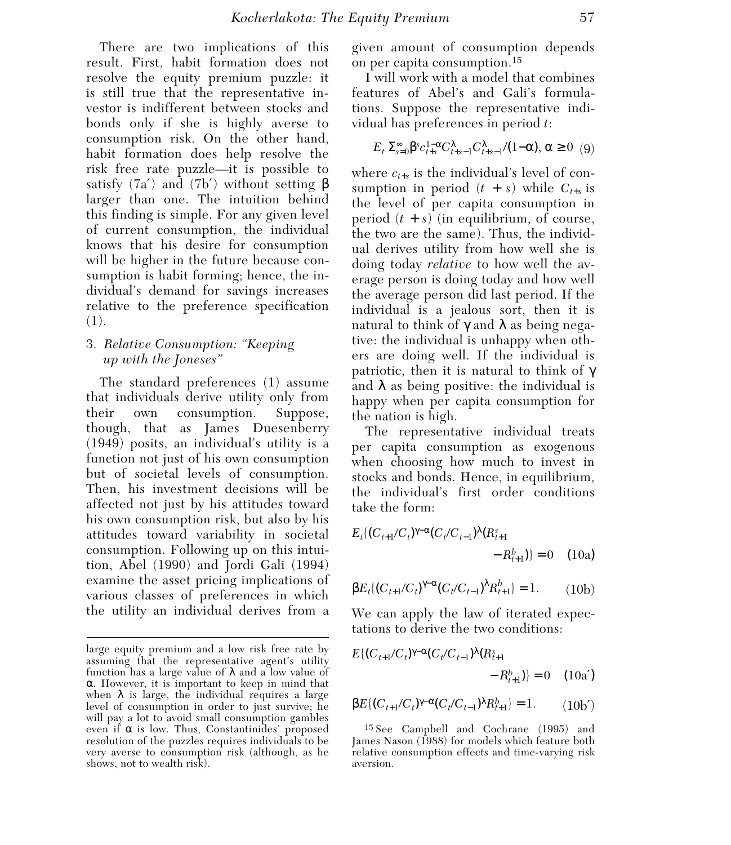There are two implications of this result. First, habit formation does not resolve the equity premium puzzle: it is still true that the representative investor is indifferent between stocks and bonds only if she is highly averse to consumption risk. On the other hand, habit formation does help resolve the risk free rate puzzle—it is possible to satisfy  $(7a')$  and  $(7b')$  without setting  $\beta$ larger than one. The intuition behind this finding is simple. For any given level of current consumption, the individual knows that his desire for consumption will be higher in the future because consumption is habit forming; hence, the individual's demand for savings increases relative to the preference specification (1).

## 3. *Relative Consumption: "Keeping up with the Joneses"*

The standard preferences (1) assume that individuals derive utility only from their own consumption. Suppose, though, that as James Duesenberry (1949) posits, an individual's utility is a function not just of his own consumption but of societal levels of consumption. Then, his investment decisions will be affected not just by his attitudes toward his own consumption risk, but also by his attitudes toward variability in societal consumption. Following up on this intuition, Abel (1990) and Jordi Gali (1994) examine the asset pricing implications of various classes of preferences in which the utility an individual derives from a

given amount of consumption depends on per capita consumption.15

I will work with a model that combines features of Abel's and Gali's formulations. Suppose the representative individual has preferences in period *t*:

$$
E_t \Sigma_{s=0}^{\infty} \beta^s c_{t+s}^{1-\alpha} C_{t+s-1}^{\lambda} C_{t+s-1}^{\lambda} / (1-\alpha), \alpha \ge 0 \quad (9)
$$

where  $c_{t+s}$  is the individual's level of consumption in period  $(t + s)$  while  $C_{t+s}$  is the level of per capita consumption in period  $(t + s)$  (in equilibrium, of course, the two are the same). Thus, the individual derives utility from how well she is doing today *relative* to how well the average person is doing today and how well the average person did last period. If the individual is a jealous sort, then it is natural to think of  $\gamma$  and  $\lambda$  as being negative: the individual is unhappy when others are doing well. If the individual is patriotic, then it is natural to think of  $\gamma$ and  $\lambda$  as being positive: the individual is happy when per capita consumption for the nation is high.

The representative individual treats per capita consumption as exogenous when choosing how much to invest in stocks and bonds. Hence, in equilibrium, the individual's first order conditions take the form:

$$
E_t\{(C_{t+1}/C_t)^{\gamma-\alpha}(C_t/C_{t-1})^{\lambda}(R_{t+1}^s) - R_{t+1}^b)\} = 0 \quad (10a)
$$

$$
\beta E_t \{ (C_{t+1}/C_t)^{\gamma-\alpha} (C_t/C_{t-1})^{\lambda} R_{t+1}^b \} = 1. \tag{10b}
$$

We can apply the law of iterated expectations to derive the two conditions:

$$
E\{(C_{t+1}/C_t)^{\gamma-\alpha}(C_t/C_{t-1})^{\lambda}(R_{t+1}^s)
$$

$$
-R_{t+1}^b\}=0 \quad (10a')
$$

$$
\beta E\{ (C_{t+1}/C_t)^{\gamma-\alpha} (C_t/C_{t-1})^{\lambda} R_{t+1}^b \} = 1. \qquad (10b')
$$

15 See Campbell and Cochrane (1995) and James Nason (1988) for models which feature both relative consumption effects and time-varying risk aversion.

large equity premium and a low risk free rate by assuming that the representative agent's utility function has a large value of λ and a low value of α. However, it is important to keep in mind that when  $\lambda$  is large, the individual requires a large level of consumption in order to just survive; he will pay a lot to avoid small consumption gambles even if  $\alpha$  is low. Thus, Constantinides' proposed resolution of the puzzles requires individuals to be very averse to consumption risk (although, as he shows, not to wealth risk).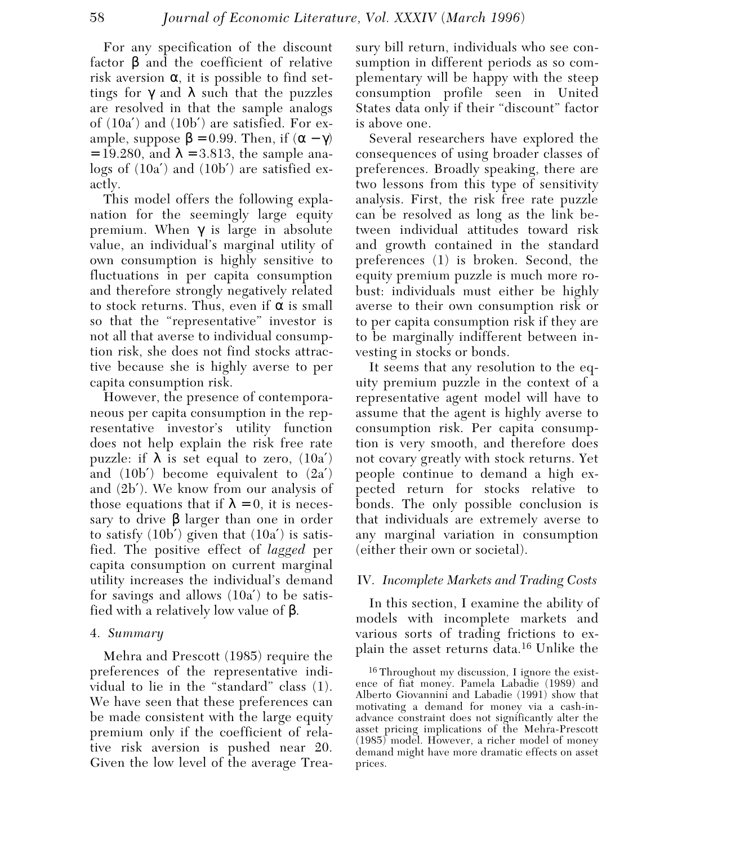For any specification of the discount factor β and the coefficient of relative risk aversion  $\alpha$ , it is possible to find settings for  $\gamma$  and  $\lambda$  such that the puzzles are resolved in that the sample analogs of (10a′) and (10b′) are satisfied. For example, suppose  $\beta = 0.99$ . Then, if  $(\alpha - \gamma)$  $= 19.280$ , and  $\lambda = 3.813$ , the sample analogs of (10a′) and (10b′) are satisfied exactly.

This model offers the following explanation for the seemingly large equity premium. When γ is large in absolute value, an individual's marginal utility of own consumption is highly sensitive to fluctuations in per capita consumption and therefore strongly negatively related to stock returns. Thus, even if  $\alpha$  is small so that the "representative" investor is not all that averse to individual consumption risk, she does not find stocks attractive because she is highly averse to per capita consumption risk.

However, the presence of contemporaneous per capita consumption in the representative investor's utility function does not help explain the risk free rate puzzle: if λ is set equal to zero,  $(10a')$ and  $(10b')$  become equivalent to  $(2a')$ and (2b′). We know from our analysis of those equations that if  $\lambda = 0$ , it is necessary to drive β larger than one in order to satisfy  $(10b')$  given that  $(10a')$  is satisfied. The positive effect of *lagged* per capita consumption on current marginal utility increases the individual's demand for savings and allows (10a′) to be satisfied with a relatively low value of β.

## 4. *Summary*

Mehra and Prescott (1985) require the preferences of the representative individual to lie in the "standard" class (1). We have seen that these preferences can be made consistent with the large equity premium only if the coefficient of relative risk aversion is pushed near 20. Given the low level of the average Treasury bill return, individuals who see consumption in different periods as so complementary will be happy with the steep consumption profile seen in United States data only if their "discount" factor is above one.

Several researchers have explored the consequences of using broader classes of preferences. Broadly speaking, there are two lessons from this type of sensitivity analysis. First, the risk free rate puzzle can be resolved as long as the link between individual attitudes toward risk and growth contained in the standard preferences (1) is broken. Second, the equity premium puzzle is much more robust: individuals must either be highly averse to their own consumption risk or to per capita consumption risk if they are to be marginally indifferent between investing in stocks or bonds.

It seems that any resolution to the equity premium puzzle in the context of a representative agent model will have to assume that the agent is highly averse to consumption risk. Per capita consumption is very smooth, and therefore does not covary greatly with stock returns. Yet people continue to demand a high expected return for stocks relative to bonds. The only possible conclusion is that individuals are extremely averse to any marginal variation in consumption (either their own or societal).

## IV. *Incomplete Markets and Trading Costs*

In this section, I examine the ability of models with incomplete markets and various sorts of trading frictions to explain the asset returns data.16 Unlike the

<sup>16</sup> Throughout my discussion, I ignore the existence of fiat money. Pamela Labadie (1989) and Alberto Giovannini and Labadie (1991) show that motivating a demand for money via a cash-inadvance constraint does not significantly alter the asset pricing implications of the Mehra-Prescott (1985) model. However, a richer model of money demand might have more dramatic effects on asset prices.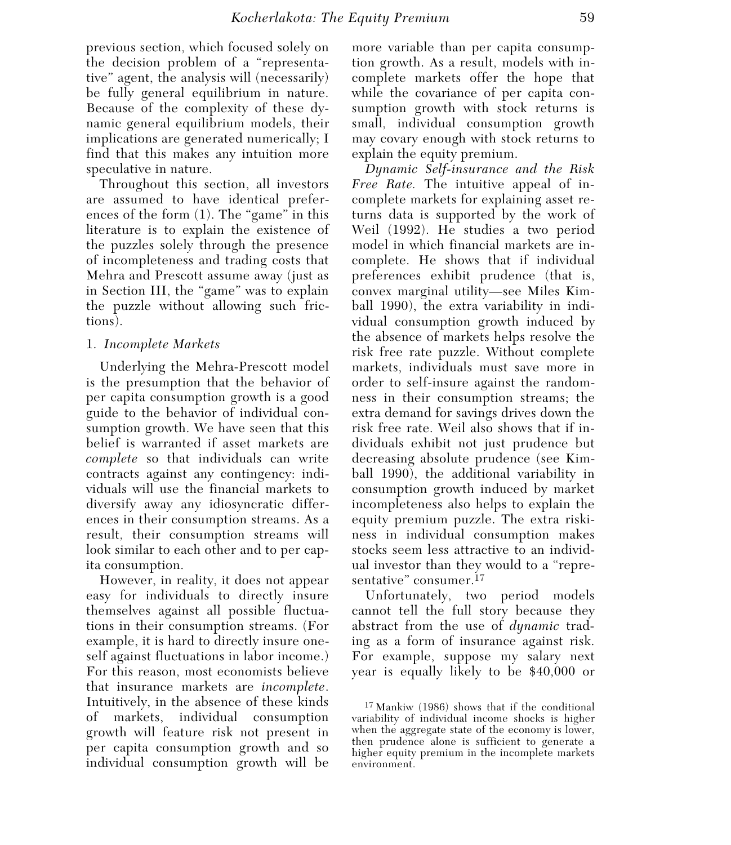previous section, which focused solely on the decision problem of a "representative" agent, the analysis will (necessarily) be fully general equilibrium in nature. Because of the complexity of these dynamic general equilibrium models, their implications are generated numerically; I find that this makes any intuition more speculative in nature.

Throughout this section, all investors are assumed to have identical preferences of the form (1). The "game" in this literature is to explain the existence of the puzzles solely through the presence of incompleteness and trading costs that Mehra and Prescott assume away (just as in Section III, the "game" was to explain the puzzle without allowing such frictions).

## 1. *Incomplete Markets*

Underlying the Mehra-Prescott model is the presumption that the behavior of per capita consumption growth is a good guide to the behavior of individual consumption growth. We have seen that this belief is warranted if asset markets are *complete* so that individuals can write contracts against any contingency: individuals will use the financial markets to diversify away any idiosyncratic differences in their consumption streams. As a result, their consumption streams will look similar to each other and to per capita consumption.

However, in reality, it does not appear easy for individuals to directly insure themselves against all possible fluctuations in their consumption streams. (For example, it is hard to directly insure oneself against fluctuations in labor income.) For this reason, most economists believe that insurance markets are *incomplete*. Intuitively, in the absence of these kinds of markets, individual consumption growth will feature risk not present in per capita consumption growth and so individual consumption growth will be

more variable than per capita consumption growth. As a result, models with incomplete markets offer the hope that while the covariance of per capita consumption growth with stock returns is small, individual consumption growth may covary enough with stock returns to explain the equity premium.

*Dynamic Self-insurance and the Risk Free Rate.* The intuitive appeal of incomplete markets for explaining asset returns data is supported by the work of Weil (1992). He studies a two period model in which financial markets are incomplete. He shows that if individual preferences exhibit prudence (that is, convex marginal utility—see Miles Kimball 1990), the extra variability in individual consumption growth induced by the absence of markets helps resolve the risk free rate puzzle. Without complete markets, individuals must save more in order to self-insure against the randomness in their consumption streams; the extra demand for savings drives down the risk free rate. Weil also shows that if individuals exhibit not just prudence but decreasing absolute prudence (see Kimball 1990), the additional variability in consumption growth induced by market incompleteness also helps to explain the equity premium puzzle. The extra riskiness in individual consumption makes stocks seem less attractive to an individual investor than they would to a "representative" consumer.<sup>17</sup>

Unfortunately, two period models cannot tell the full story because they abstract from the use of *dynamic* trading as a form of insurance against risk. For example, suppose my salary next year is equally likely to be \$40,000 or

<sup>17</sup> Mankiw (1986) shows that if the conditional variability of individual income shocks is higher when the aggregate state of the economy is lower, then prudence alone is sufficient to generate a higher equity premium in the incomplete markets environment.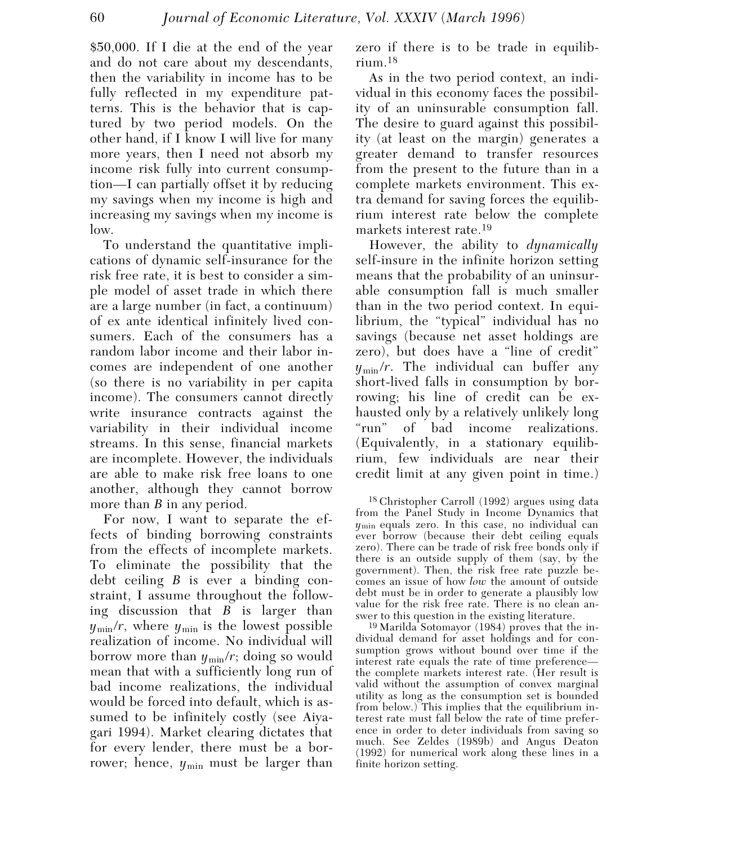\$50,000. If I die at the end of the year and do not care about my descendants, then the variability in income has to be fully reflected in my expenditure patterns. This is the behavior that is captured by two period models. On the other hand, if I know I will live for many more years, then I need not absorb my income risk fully into current consumption—I can partially offset it by reducing my savings when my income is high and increasing my savings when my income is low.

To understand the quantitative implications of dynamic self-insurance for the risk free rate, it is best to consider a simple model of asset trade in which there are a large number (in fact, a continuum) of ex ante identical infinitely lived consumers. Each of the consumers has a random labor income and their labor incomes are independent of one another (so there is no variability in per capita income). The consumers cannot directly write insurance contracts against the variability in their individual income streams. In this sense, financial markets are incomplete. However, the individuals are able to make risk free loans to one another, although they cannot borrow more than *B* in any period.

For now, I want to separate the effects of binding borrowing constraints from the effects of incomplete markets. To eliminate the possibility that the debt ceiling *B* is ever a binding constraint, I assume throughout the following discussion that *B* is larger than  $y_{\text{min}}/r$ , where  $y_{\text{min}}$  is the lowest possible realization of income. No individual will borrow more than  $y_{\text{min}}/r$ ; doing so would mean that with a sufficiently long run of bad income realizations, the individual would be forced into default, which is assumed to be infinitely costly (see Aiyagari 1994). Market clearing dictates that for every lender, there must be a borrower; hence,  $y_{\text{min}}$  must be larger than

zero if there is to be trade in equilibrium.18

As in the two period context, an individual in this economy faces the possibility of an uninsurable consumption fall. The desire to guard against this possibility (at least on the margin) generates a greater demand to transfer resources from the present to the future than in a complete markets environment. This extra demand for saving forces the equilibrium interest rate below the complete markets interest rate.19

However, the ability to *dynamically* self-insure in the infinite horizon setting means that the probability of an uninsurable consumption fall is much smaller than in the two period context. In equilibrium, the "typical" individual has no savings (because net asset holdings are zero), but does have a "line of credit"  $y_{\text{min}}/r$ . The individual can buffer any short-lived falls in consumption by borrowing; his line of credit can be exhausted only by a relatively unlikely long "run" of bad income realizations. (Equivalently, in a stationary equilibrium, few individuals are near their credit limit at any given point in time.)

18 Christopher Carroll (1992) argues using data from the Panel Study in Income Dynamics that *y*min equals zero. In this case, no individual can ever borrow (because their debt ceiling equals zero). There can be trade of risk free bonds only if there is an outside supply of them (say, by the government). Then, the risk free rate puzzle becomes an issue of how *low* the amount of outside debt must be in order to generate a plausibly low value for the risk free rate. There is no clean answer to this question in the existing literature.

19 Marilda Sotomayor (1984) proves that the individual demand for asset holdings and for consumption grows without bound over time if the interest rate equals the rate of time preference the complete markets interest rate. (Her result is valid without the assumption of convex marginal utility as long as the consumption set is bounded from below.) This implies that the equilibrium interest rate must fall below the rate of time preference in order to deter individuals from saving so much. See Zeldes (1989b) and Angus Deaton (1992) for numerical work along these lines in a finite horizon setting.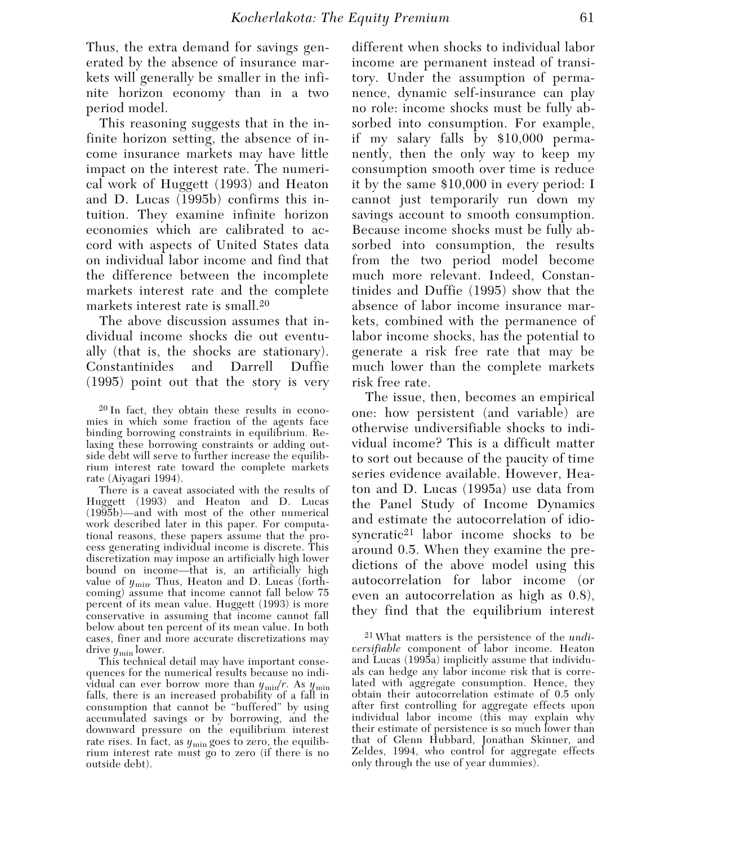Thus, the extra demand for savings generated by the absence of insurance markets will generally be smaller in the infinite horizon economy than in a two period model.

This reasoning suggests that in the infinite horizon setting, the absence of income insurance markets may have little impact on the interest rate. The numerical work of Huggett (1993) and Heaton and D. Lucas (1995b) confirms this intuition. They examine infinite horizon economies which are calibrated to accord with aspects of United States data on individual labor income and find that the difference between the incomplete markets interest rate and the complete markets interest rate is small.20

The above discussion assumes that individual income shocks die out eventually (that is, the shocks are stationary). Constantinides and Darrell Duffie (1995) point out that the story is very

20 In fact, they obtain these results in economies in which some fraction of the agents face binding borrowing constraints in equilibrium. Relaxing these borrowing constraints or adding outside debt will serve to further increase the equilibrium interest rate toward the complete markets rate (Aiyagari 1994).

There is a caveat associated with the results of Huggett (1993) and Heaton and D. Lucas (1995b)—and with most of the other numerical work described later in this paper. For computational reasons, these papers assume that the process generating individual income is discrete. This discretization may impose an artificially high lower bound on income—that is, an artificially high value of  $y_{\text{min}}$ . Thus, Heaton and D. Lucas (forthcoming) assume that income cannot fall below 75 percent of its mean value. Huggett (1993) is more conservative in assuming that income cannot fall below about ten percent of its mean value. In both cases, finer and more accurate discretizations may drive *y*min lower.

This technical detail may have important consequences for the numerical results because no individual can ever borrow more than  $y_{\text{min}}/r$ . As  $y_{\text{min}}$ falls, there is an increased probability of a fall in consumption that cannot be "buffered" by using accumulated savings or by borrowing, and the downward pressure on the equilibrium interest rate rises. In fact, as  $y_{\text{min}}$  goes to zero, the equilibrium interest rate must go to zero (if there is no outside debt).

different when shocks to individual labor income are permanent instead of transitory. Under the assumption of permanence, dynamic self-insurance can play no role: income shocks must be fully absorbed into consumption. For example, if my salary falls by \$10,000 permanently, then the only way to keep my consumption smooth over time is reduce it by the same \$10,000 in every period: I cannot just temporarily run down my savings account to smooth consumption. Because income shocks must be fully absorbed into consumption, the results from the two period model become much more relevant. Indeed, Constantinides and Duffie (1995) show that the absence of labor income insurance markets, combined with the permanence of labor income shocks, has the potential to generate a risk free rate that may be much lower than the complete markets risk free rate.

The issue, then, becomes an empirical one: how persistent (and variable) are otherwise undiversifiable shocks to individual income? This is a difficult matter to sort out because of the paucity of time series evidence available. However, Heaton and D. Lucas (1995a) use data from the Panel Study of Income Dynamics and estimate the autocorrelation of idiosyncratic21 labor income shocks to be around 0.5. When they examine the predictions of the above model using this autocorrelation for labor income (or even an autocorrelation as high as 0.8), they find that the equilibrium interest

21 What matters is the persistence of the *undiversifiable* component of labor income. Heaton and Lucas (1995a) implicitly assume that individuals can hedge any labor income risk that is correlated with aggregate consumption. Hence, they obtain their autocorrelation estimate of 0.5 only after first controlling for aggregate effects upon individual labor income (this may explain why their estimate of persistence is so much lower than that of Glenn Hubbard, Jonathan Skinner, and Zeldes, 1994, who control for aggregate effects only through the use of year dummies).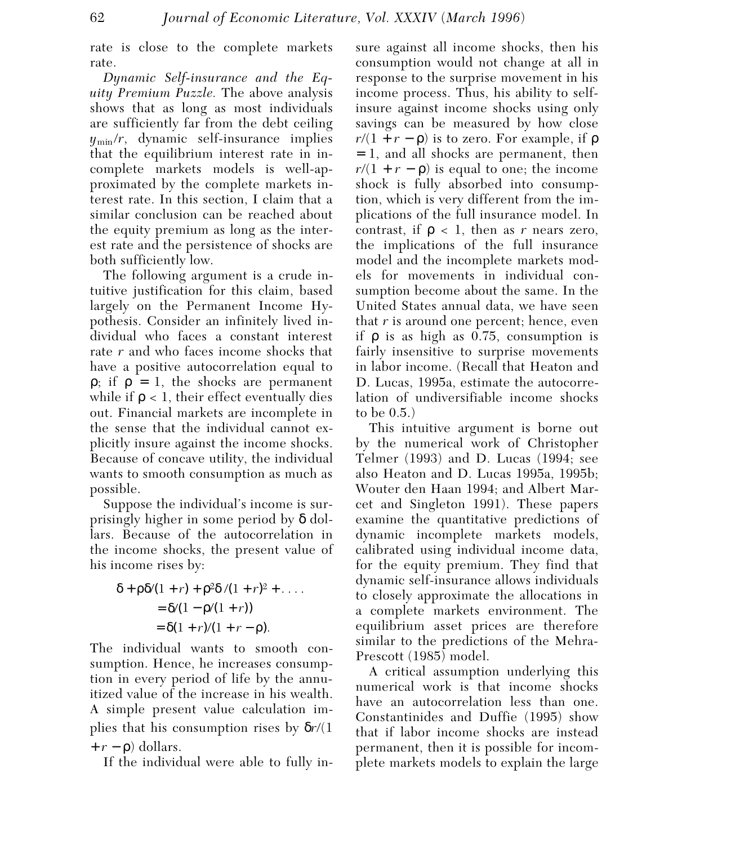rate is close to the complete markets rate.

*Dynamic Self-insurance and the Equity Premium Puzzle.* The above analysis shows that as long as most individuals are sufficiently far from the debt ceiling  $y_{\text{min}}/r$ , dynamic self-insurance implies that the equilibrium interest rate in incomplete markets models is well-approximated by the complete markets interest rate. In this section, I claim that a similar conclusion can be reached about the equity premium as long as the interest rate and the persistence of shocks are both sufficiently low.

The following argument is a crude intuitive justification for this claim, based largely on the Permanent Income Hypothesis. Consider an infinitely lived individual who faces a constant interest rate *r* and who faces income shocks that have a positive autocorrelation equal to  $ρ$ ; if  $ρ = 1$ , the shocks are permanent while if  $\rho < 1$ , their effect eventually dies out. Financial markets are incomplete in the sense that the individual cannot explicitly insure against the income shocks. Because of concave utility, the individual wants to smooth consumption as much as possible.

Suppose the individual's income is surprisingly higher in some period by δ dollars. Because of the autocorrelation in the income shocks, the present value of his income rises by:

$$
\delta + \rho \delta / (1 + r) + \rho^2 \delta / (1 + r)^2 + \dots
$$
  
=  $\delta / (1 - \rho / (1 + r))$   
=  $\delta (1 + r) / (1 + r - \rho)$ .

The individual wants to smooth consumption. Hence, he increases consumption in every period of life by the annuitized value of the increase in his wealth. A simple present value calculation implies that his consumption rises by δ*r*/(1  $+r - \rho$ ) dollars.

If the individual were able to fully in-

sure against all income shocks, then his consumption would not change at all in response to the surprise movement in his income process. Thus, his ability to selfinsure against income shocks using only savings can be measured by how close  $r/(1 + r - \rho)$  is to zero. For example, if  $\rho$ = 1, and all shocks are permanent, then  $r/(1 + r - \rho)$  is equal to one; the income shock is fully absorbed into consumption, which is very different from the implications of the full insurance model. In contrast, if  $\rho < 1$ , then as *r* nears zero, the implications of the full insurance model and the incomplete markets models for movements in individual consumption become about the same. In the United States annual data, we have seen that *r* is around one percent; hence, even if ρ is as high as 0.75, consumption is fairly insensitive to surprise movements in labor income. (Recall that Heaton and D. Lucas, 1995a, estimate the autocorrelation of undiversifiable income shocks to be 0.5.)

This intuitive argument is borne out by the numerical work of Christopher Telmer (1993) and D. Lucas (1994; see also Heaton and D. Lucas 1995a, 1995b; Wouter den Haan 1994; and Albert Marcet and Singleton 1991). These papers examine the quantitative predictions of dynamic incomplete markets models, calibrated using individual income data, for the equity premium. They find that dynamic self-insurance allows individuals to closely approximate the allocations in a complete markets environment. The equilibrium asset prices are therefore similar to the predictions of the Mehra-Prescott (1985) model.

A critical assumption underlying this numerical work is that income shocks have an autocorrelation less than one. Constantinides and Duffie (1995) show that if labor income shocks are instead permanent, then it is possible for incomplete markets models to explain the large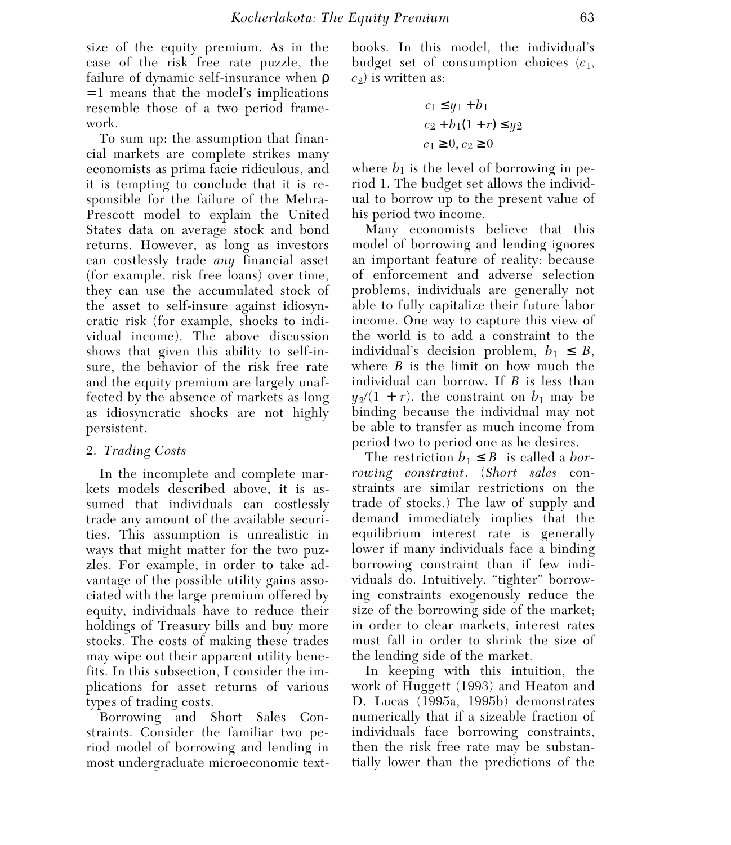size of the equity premium. As in the case of the risk free rate puzzle, the failure of dynamic self-insurance when ρ = 1 means that the model's implications resemble those of a two period framework.

To sum up: the assumption that financial markets are complete strikes many economists as prima facie ridiculous, and it is tempting to conclude that it is responsible for the failure of the Mehra-Prescott model to explain the United States data on average stock and bond returns. However, as long as investors can costlessly trade *any* financial asset (for example, risk free loans) over time, they can use the accumulated stock of the asset to self-insure against idiosyncratic risk (for example, shocks to individual income). The above discussion shows that given this ability to self-insure, the behavior of the risk free rate and the equity premium are largely unaffected by the absence of markets as long as idiosyncratic shocks are not highly persistent.

## 2. *Trading Costs*

In the incomplete and complete markets models described above, it is assumed that individuals can costlessly trade any amount of the available securities. This assumption is unrealistic in ways that might matter for the two puzzles. For example, in order to take advantage of the possible utility gains associated with the large premium offered by equity, individuals have to reduce their holdings of Treasury bills and buy more stocks. The costs of making these trades may wipe out their apparent utility benefits. In this subsection, I consider the implications for asset returns of various types of trading costs.

Borrowing and Short Sales Constraints. Consider the familiar two period model of borrowing and lending in most undergraduate microeconomic textbooks. In this model, the individual's budget set of consumption choices (*c*1,  $c_2$ ) is written as:

$$
c_1 \le y_1 + b_1
$$
  
\n
$$
c_2 + b_1(1+r) \le y_2
$$
  
\n
$$
c_1 \ge 0, c_2 \ge 0
$$

where  $b_1$  is the level of borrowing in period 1. The budget set allows the individual to borrow up to the present value of his period two income.

Many economists believe that this model of borrowing and lending ignores an important feature of reality: because of enforcement and adverse selection problems, individuals are generally not able to fully capitalize their future labor income. One way to capture this view of the world is to add a constraint to the individual's decision problem,  $b_1 \leq B$ , where *B* is the limit on how much the individual can borrow. If *B* is less than  $y_2/(1 + r)$ , the constraint on  $b_1$  may be binding because the individual may not be able to transfer as much income from period two to period one as he desires.

The restriction  $b_1 \leq B$  is called a *borrowing constraint*. (*Short sales* constraints are similar restrictions on the trade of stocks.) The law of supply and demand immediately implies that the equilibrium interest rate is generally lower if many individuals face a binding borrowing constraint than if few individuals do. Intuitively, "tighter" borrowing constraints exogenously reduce the size of the borrowing side of the market; in order to clear markets, interest rates must fall in order to shrink the size of the lending side of the market.

In keeping with this intuition, the work of Huggett (1993) and Heaton and D. Lucas (1995a, 1995b) demonstrates numerically that if a sizeable fraction of individuals face borrowing constraints, then the risk free rate may be substantially lower than the predictions of the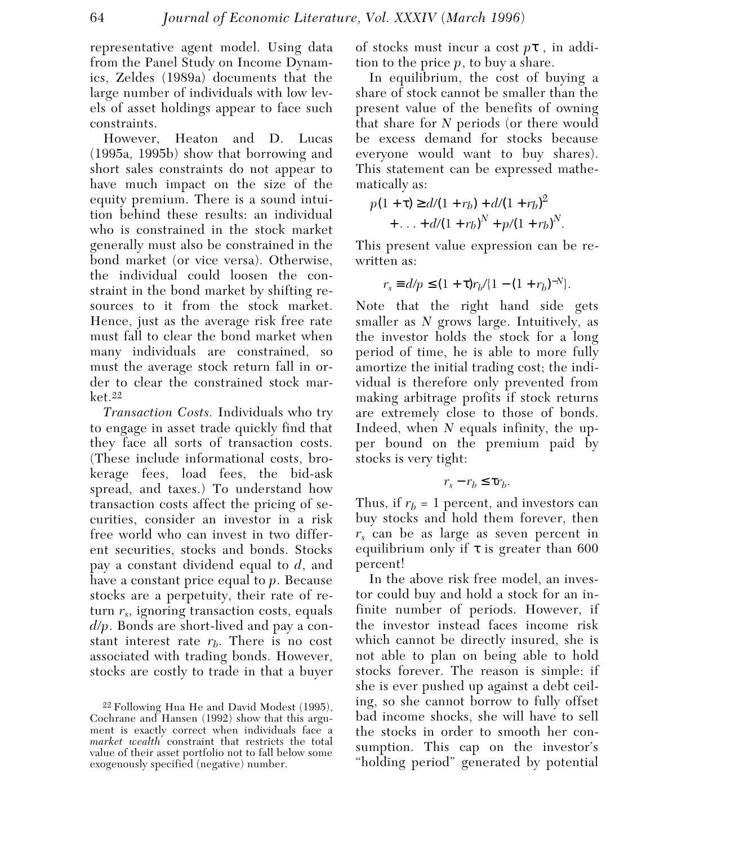representative agent model. Using data from the Panel Study on Income Dynamics, Zeldes (1989a) documents that the large number of individuals with low levels of asset holdings appear to face such constraints.

However, Heaton and D. Lucas (1995a, 1995b) show that borrowing and short sales constraints do not appear to have much impact on the size of the equity premium. There is a sound intuition behind these results: an individual who is constrained in the stock market generally must also be constrained in the bond market (or vice versa). Otherwise, the individual could loosen the constraint in the bond market by shifting resources to it from the stock market. Hence, just as the average risk free rate must fall to clear the bond market when many individuals are constrained, so must the average stock return fall in order to clear the constrained stock mar $ket.22$ 

*Transaction Costs.* Individuals who try to engage in asset trade quickly find that they face all sorts of transaction costs. (These include informational costs, brokerage fees, load fees, the bid-ask spread, and taxes.) To understand how transaction costs affect the pricing of securities, consider an investor in a risk free world who can invest in two different securities, stocks and bonds. Stocks pay a constant dividend equal to *d*, and have a constant price equal to *p*. Because stocks are a perpetuity, their rate of return *rs*, ignoring transaction costs, equals *d*/*p*. Bonds are short-lived and pay a constant interest rate  $r_b$ . There is no cost associated with trading bonds. However, stocks are costly to trade in that a buyer

of stocks must incur a cost *p*τ , in addition to the price *p*, to buy a share.

In equilibrium, the cost of buying a share of stock cannot be smaller than the present value of the benefits of owning that share for *N* periods (or there would be excess demand for stocks because everyone would want to buy shares). This statement can be expressed mathematically as:

$$
p(1+\tau) \ge d/(1+r_b) + d/(1+r_b)^2
$$
  
+ ... +  $d/(1+r_b)^N$  +  $p/(1+r_b)^N$ .

This present value expression can be rewritten as:

$$
r_s \equiv d/p \le (1+\tau)r_b/[1-(1+r_b)^{-N}].
$$

Note that the right hand side gets smaller as *N* grows large. Intuitively, as the investor holds the stock for a long period of time, he is able to more fully amortize the initial trading cost; the individual is therefore only prevented from making arbitrage profits if stock returns are extremely close to those of bonds. Indeed, when *N* equals infinity, the upper bound on the premium paid by stocks is very tight:

$$
r_s-r_b\leq \tau r_b.
$$

Thus, if  $r_b = 1$  percent, and investors can buy stocks and hold them forever, then *rs* can be as large as seven percent in equilibrium only if  $\tau$  is greater than 600 percent!

In the above risk free model, an investor could buy and hold a stock for an infinite number of periods. However, if the investor instead faces income risk which cannot be directly insured, she is not able to plan on being able to hold stocks forever. The reason is simple: if she is ever pushed up against a debt ceiling, so she cannot borrow to fully offset bad income shocks, she will have to sell the stocks in order to smooth her consumption. This cap on the investor's "holding period" generated by potential

<sup>22</sup> Following Hua He and David Modest (1995), Cochrane and Hansen (1992) show that this argument is exactly correct when individuals face a *market wealth* constraint that restricts the total value of their asset portfolio not to fall below some exogenously specified (negative) number.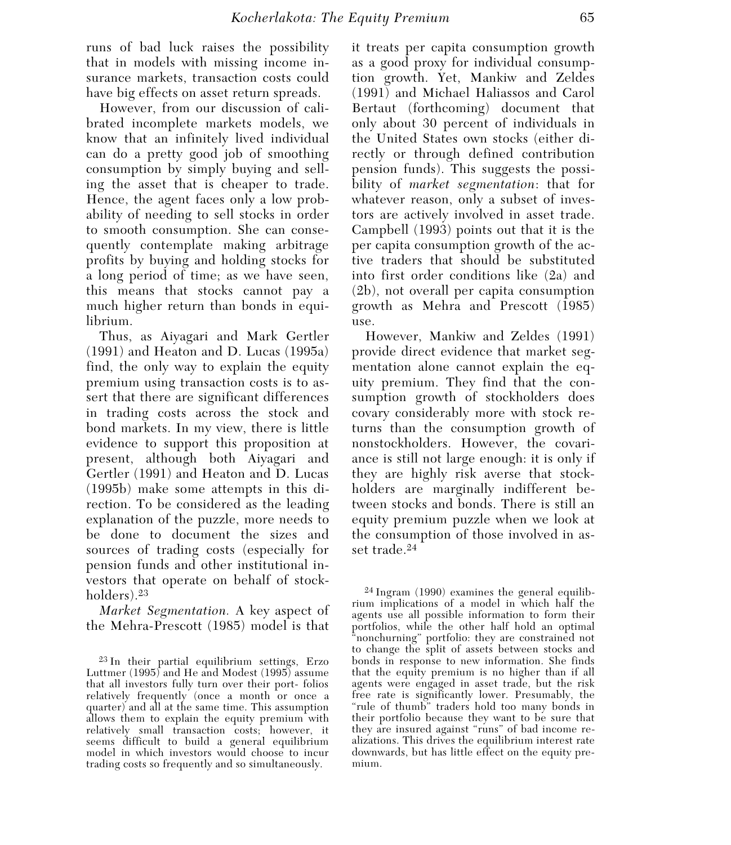runs of bad luck raises the possibility that in models with missing income insurance markets, transaction costs could have big effects on asset return spreads.

However, from our discussion of calibrated incomplete markets models, we know that an infinitely lived individual can do a pretty good job of smoothing consumption by simply buying and selling the asset that is cheaper to trade. Hence, the agent faces only a low probability of needing to sell stocks in order to smooth consumption. She can consequently contemplate making arbitrage profits by buying and holding stocks for a long period of time; as we have seen, this means that stocks cannot pay a much higher return than bonds in equilibrium.

Thus, as Aiyagari and Mark Gertler (1991) and Heaton and D. Lucas (1995a) find, the only way to explain the equity premium using transaction costs is to assert that there are significant differences in trading costs across the stock and bond markets. In my view, there is little evidence to support this proposition at present, although both Aiyagari and Gertler (1991) and Heaton and D. Lucas (1995b) make some attempts in this direction. To be considered as the leading explanation of the puzzle, more needs to be done to document the sizes and sources of trading costs (especially for pension funds and other institutional investors that operate on behalf of stockholders).23

*Market Segmentation.* A key aspect of the Mehra-Prescott (1985) model is that

it treats per capita consumption growth as a good proxy for individual consumption growth. Yet, Mankiw and Zeldes (1991) and Michael Haliassos and Carol Bertaut (forthcoming) document that only about 30 percent of individuals in the United States own stocks (either directly or through defined contribution pension funds). This suggests the possibility of *market segmentation*: that for whatever reason, only a subset of investors are actively involved in asset trade. Campbell (1993) points out that it is the per capita consumption growth of the active traders that should be substituted into first order conditions like (2a) and (2b), not overall per capita consumption growth as Mehra and Prescott (1985) use.

However, Mankiw and Zeldes (1991) provide direct evidence that market segmentation alone cannot explain the equity premium. They find that the consumption growth of stockholders does covary considerably more with stock returns than the consumption growth of nonstockholders. However, the covariance is still not large enough: it is only if they are highly risk averse that stockholders are marginally indifferent between stocks and bonds. There is still an equity premium puzzle when we look at the consumption of those involved in asset trade.24

24 Ingram (1990) examines the general equilibrium implications of a model in which half the agents use all possible information to form their portfolios, while the other half hold an optimal "nonchurning" portfolio: they are constrained not to change the split of assets between stocks and bonds in response to new information. She finds that the equity premium is no higher than if all agents were engaged in asset trade, but the risk free rate is significantly lower. Presumably, the "rule of thumb" traders hold too many bonds in their portfolio because they want to be sure that they are insured against "runs" of bad income realizations. This drives the equilibrium interest rate downwards, but has little effect on the equity premium.

<sup>23</sup> In their partial equilibrium settings, Erzo Luttmer (1995) and He and Modest (1995) assume that all investors fully turn over their port- folios relatively frequently (once a month or once a quarter) and all at the same time. This assumption allows them to explain the equity premium with relatively small transaction costs; however, it seems difficult to build a general equilibrium model in which investors would choose to incur trading costs so frequently and so simultaneously.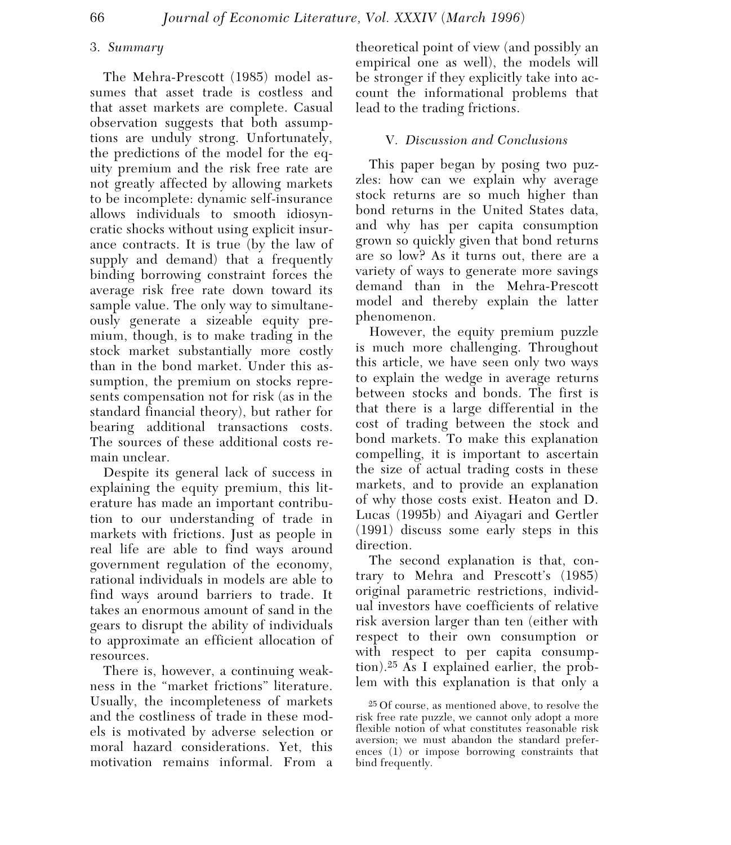### 3. *Summary*

The Mehra-Prescott (1985) model assumes that asset trade is costless and that asset markets are complete. Casual observation suggests that both assumptions are unduly strong. Unfortunately, the predictions of the model for the equity premium and the risk free rate are not greatly affected by allowing markets to be incomplete: dynamic self-insurance allows individuals to smooth idiosyncratic shocks without using explicit insurance contracts. It is true (by the law of supply and demand) that a frequently binding borrowing constraint forces the average risk free rate down toward its sample value. The only way to simultaneously generate a sizeable equity premium, though, is to make trading in the stock market substantially more costly than in the bond market. Under this assumption, the premium on stocks represents compensation not for risk (as in the standard financial theory), but rather for bearing additional transactions costs. The sources of these additional costs remain unclear.

Despite its general lack of success in explaining the equity premium, this literature has made an important contribution to our understanding of trade in markets with frictions. Just as people in real life are able to find ways around government regulation of the economy, rational individuals in models are able to find ways around barriers to trade. It takes an enormous amount of sand in the gears to disrupt the ability of individuals to approximate an efficient allocation of resources.

There is, however, a continuing weakness in the "market frictions" literature. Usually, the incompleteness of markets and the costliness of trade in these models is motivated by adverse selection or moral hazard considerations. Yet, this motivation remains informal. From a

theoretical point of view (and possibly an empirical one as well), the models will be stronger if they explicitly take into account the informational problems that lead to the trading frictions.

## V. *Discussion and Conclusions*

This paper began by posing two puzzles: how can we explain why average stock returns are so much higher than bond returns in the United States data, and why has per capita consumption grown so quickly given that bond returns are so low? As it turns out, there are a variety of ways to generate more savings demand than in the Mehra-Prescott model and thereby explain the latter phenomenon.

However, the equity premium puzzle is much more challenging. Throughout this article, we have seen only two ways to explain the wedge in average returns between stocks and bonds. The first is that there is a large differential in the cost of trading between the stock and bond markets. To make this explanation compelling, it is important to ascertain the size of actual trading costs in these markets, and to provide an explanation of why those costs exist. Heaton and D. Lucas (1995b) and Aiyagari and Gertler (1991) discuss some early steps in this direction.

The second explanation is that, contrary to Mehra and Prescott's (1985) original parametric restrictions, individual investors have coefficients of relative risk aversion larger than ten (either with respect to their own consumption or with respect to per capita consumption).25 As I explained earlier, the problem with this explanation is that only a

25 Of course, as mentioned above, to resolve the risk free rate puzzle, we cannot only adopt a more flexible notion of what constitutes reasonable risk aversion; we must abandon the standard preferences (1) or impose borrowing constraints that bind frequently.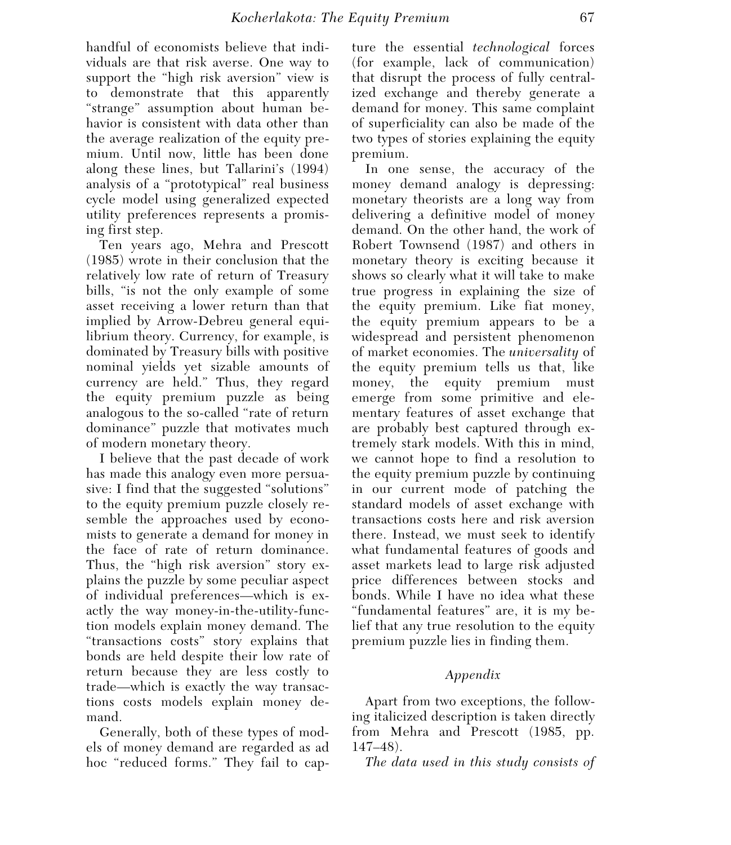handful of economists believe that individuals are that risk averse. One way to support the "high risk aversion" view is to demonstrate that this apparently "strange" assumption about human behavior is consistent with data other than the average realization of the equity premium. Until now, little has been done along these lines, but Tallarini's (1994) analysis of a "prototypical" real business cycle model using generalized expected utility preferences represents a promising first step.

Ten years ago, Mehra and Prescott (1985) wrote in their conclusion that the relatively low rate of return of Treasury bills, "is not the only example of some asset receiving a lower return than that implied by Arrow-Debreu general equilibrium theory. Currency, for example, is dominated by Treasury bills with positive nominal yields yet sizable amounts of currency are held." Thus, they regard the equity premium puzzle as being analogous to the so-called "rate of return dominance" puzzle that motivates much of modern monetary theory.

I believe that the past decade of work has made this analogy even more persuasive: I find that the suggested "solutions" to the equity premium puzzle closely resemble the approaches used by economists to generate a demand for money in the face of rate of return dominance. Thus, the "high risk aversion" story explains the puzzle by some peculiar aspect of individual preferences—which is exactly the way money-in-the-utility-function models explain money demand. The "transactions costs" story explains that bonds are held despite their low rate of return because they are less costly to trade—which is exactly the way transactions costs models explain money demand.

Generally, both of these types of models of money demand are regarded as ad hoc "reduced forms." They fail to capture the essential *technological* forces (for example, lack of communication) that disrupt the process of fully centralized exchange and thereby generate a demand for money. This same complaint of superficiality can also be made of the two types of stories explaining the equity premium.

In one sense, the accuracy of the money demand analogy is depressing: monetary theorists are a long way from delivering a definitive model of money demand. On the other hand, the work of Robert Townsend (1987) and others in monetary theory is exciting because it shows so clearly what it will take to make true progress in explaining the size of the equity premium. Like fiat money, the equity premium appears to be a widespread and persistent phenomenon of market economies. The *universality* of the equity premium tells us that, like money, the equity premium must emerge from some primitive and elementary features of asset exchange that are probably best captured through extremely stark models. With this in mind, we cannot hope to find a resolution to the equity premium puzzle by continuing in our current mode of patching the standard models of asset exchange with transactions costs here and risk aversion there. Instead, we must seek to identify what fundamental features of goods and asset markets lead to large risk adjusted price differences between stocks and bonds. While I have no idea what these "fundamental features" are, it is my belief that any true resolution to the equity premium puzzle lies in finding them.

## *Appendix*

Apart from two exceptions, the following italicized description is taken directly from Mehra and Prescott (1985, pp. 147–48).

*The data used in this study consists of*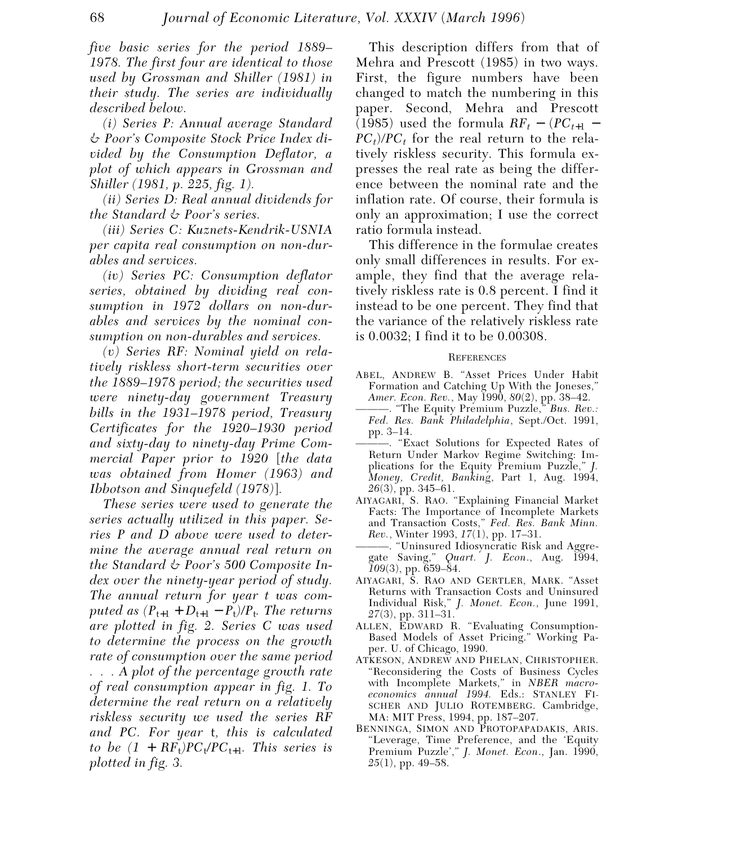*five basic series for the period 1889– 1978. The first four are identical to those used by Grossman and Shiller (1981) in their study. The series are individually described below.*

*(i) Series P: Annual average Standard & Poor's Composite Stock Price Index divided by the Consumption Deflator, a plot of which appears in Grossman and Shiller (1981, p. 225, fig. 1).*

*(ii) Series D: Real annual dividends for the Standard & Poor's series.*

*(iii) Series C: Kuznets-Kendrik-USNIA per capita real consumption on non-durables and services.*

*(iv) Series PC: Consumption deflator series, obtained by dividing real consumption in 1972 dollars on non-durables and services by the nominal consumption on non-durables and services.*

*(v) Series RF: Nominal yield on relatively riskless short-term securities over the 1889–1978 period; the securities used were ninety-day government Treasury bills in the 1931–1978 period, Treasury Certificates for the 1920–1930 period and sixty-day to ninety-day Prime Commercial Paper prior to 1920* [*the data was obtained from Homer (1963) and Ibbotson and Sinquefeld (1978)*]*.*

*These series were used to generate the series actually utilized in this paper. Series P and D above were used to determine the average annual real return on the Standard & Poor's 500 Composite Index over the ninety-year period of study. The annual return for year t was computed as*  $(P_{t+1} + D_{t+1} - P_t)/P_t$ . The returns *are plotted in fig. 2. Series C was used to determine the process on the growth rate of consumption over the same period . . . A plot of the percentage growth rate of real consumption appear in fig. 1. To determine the real return on a relatively riskless security we used the series RF and PC. For year* t*, this is calculated to be*  $(1 + RF_t)PC_t/PC_{t+1}$ *. This series is plotted in fig. 3.* 

This description differs from that of Mehra and Prescott (1985) in two ways. First, the figure numbers have been changed to match the numbering in this paper. Second, Mehra and Prescott (1985) used the formula  $RF_{t} - (PC_{t+1} PC<sub>t</sub>$ /*PC<sub>t</sub>* for the real return to the relatively riskless security. This formula expresses the real rate as being the difference between the nominal rate and the inflation rate. Of course, their formula is only an approximation; I use the correct ratio formula instead.

This difference in the formulae creates only small differences in results. For example, they find that the average relatively riskless rate is 0.8 percent. I find it instead to be one percent. They find that the variance of the relatively riskless rate is 0.0032; I find it to be 0.00308.

#### **REFERENCES**

- ABEL, ANDREW B. "Asset Prices Under Habit Formation and Catching Up With the Joneses," *Amer. Econ. Rev.*, May 1990, *80*(2), pp. 38–42.
- ———. "The Equity Premium Puzzle," *Bus. Rev.: Fed. Res. Bank Philadelphia*, Sept./Oct. 1991, pp. 3–14.
- ———. "Exact Solutions for Expected Rates of Return Under Markov Regime Switching: Implications for the Equity Premium Puzzle," *J. Money, Credit, Banking*, Part 1, Aug. 1994, *26*(3), pp. 345–61.
- AIYAGARI, S. RAO. "Explaining Financial Market Facts: The Importance of Incomplete Markets and Transaction Costs," *Fed. Res. Bank Minn. Rev.*, Winter 1993, *17*(1), pp. 17–31.
- ———. "Uninsured Idiosyncratic Risk and Aggregate Saving," *Quart. J. Econ*., Aug. 1994, *109*(3), pp. 659–84.
- AIYAGARI, S. RAO AND GERTLER, MARK. "Asset Returns with Transaction Costs and Uninsured Individual Risk," *J. Monet. Econ.*, June 1991, *27*(3), pp. 311–31.
- ALLEN, EDWARD R. "Evaluating Consumption-Based Models of Asset Pricing." Working Paper. U. of Chicago, 1990.
- ATKESON, ANDREW AND PHELAN, CHRISTOPHER. "Reconsidering the Costs of Business Cycles with Incomplete Markets," in *NBER macroeconomics annual 1994.* Eds.: STANLEY FI-SCHER AND JULIO ROTEMBERG. Cambridge, MA: MIT Press, 1994, pp. 187–207.
- BENNINGA, SIMON AND PROTOPAPADAKIS, ARIS. "Leverage, Time Preference, and the 'Equity Premium Puzzle'," *J. Monet. Econ*., Jan. 1990, *25*(1), pp. 49–58.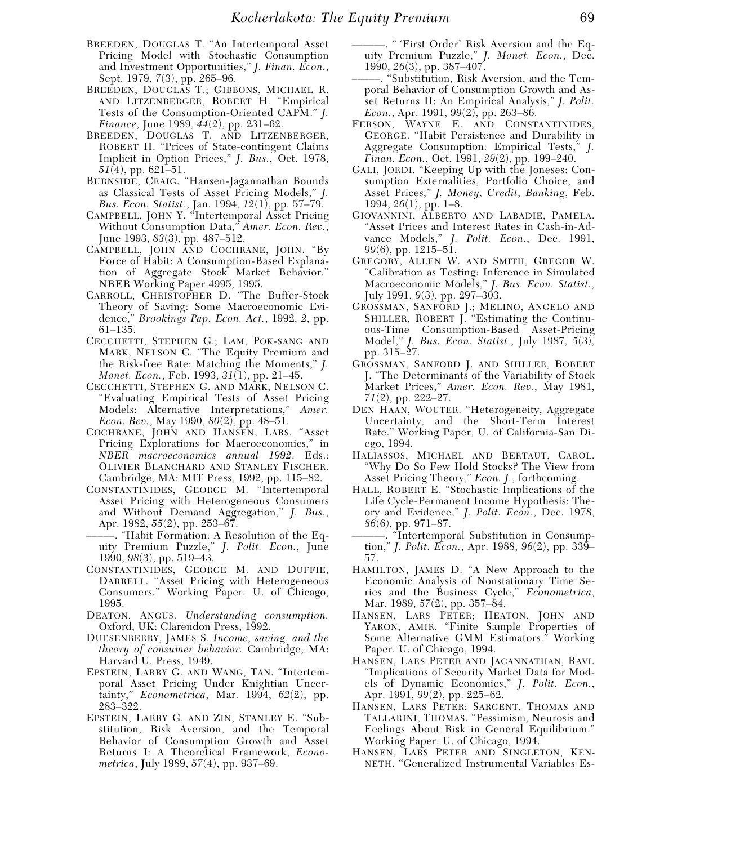- BREEDEN, DOUGLAS T. "An Intertemporal Asset Pricing Model with Stochastic Consumption and Investment Opportunities," *J. Finan. Econ.*, Sept. 1979, *7*(3), pp. 265–96.
- BREEDEN, DOUGLAS T.; GIBBONS, MICHAEL R. AND LITZENBERGER, ROBERT H. "Empirical Tests of the Consumption-Oriented CAPM." *J. Finance*, June 1989, *44*(2), pp. 231–62.
- BREEDEN, DOUGLAS T. AND LITZENBERGER, ROBERT H. "Prices of State-contingent Claims Implicit in Option Prices," *J. Bus.*, Oct. 1978, *51*(4), pp. 621–51.
- BURNSIDE, CRAIG. "Hansen-Jagannathan Bounds as Classical Tests of Asset Pricing Models," *J. Bus. Econ. Statist.*, Jan. 1994, *12*(1), pp. 57–79.
- CAMPBELL, JOHN Y. "Intertemporal Asset Pricing Without Consumption Data," *Amer. Econ. Rev.*, June 1993, *83*(3), pp. 487–512.
- CAMPBELL, JOHN AND COCHRANE, JOHN. "By Force of Habit: A Consumption-Based Explanation of Aggregate Stock Market Behavior." NBER Working Paper 4995, 1995.
- CARROLL, CHRISTOPHER D. "The Buffer-Stock Theory of Saving: Some Macroeconomic Evidence," *Brookings Pap. Econ. Act.*, 1992, *2*, pp. 61–135.
- CECCHETTI, STEPHEN G.; LAM, POK-SANG AND MARK, NELSON C. "The Equity Premium and the Risk-free Rate: Matching the Moments," *J. Monet. Econ.*, Feb. 1993, *31*(1), pp. 21–45.
- CECCHETTI, STEPHEN G. AND MARK, NELSON C. "Evaluating Empirical Tests of Asset Pricing Models: Alternative Interpretations," *Amer. Econ. Rev.*, May 1990, *80*(2), pp. 48–51.
- COCHRANE, JOHN AND HANSEN, LARS. "Asset Pricing Explorations for Macroeconomics," in *NBER macroeconomics annual 1992*. Eds.: OLIVIER BLANCHARD AND STANLEY FISCHER. Cambridge, MA: MIT Press, 1992, pp. 115–82.
- CONSTANTINIDES, GEORGE M. "Intertemporal Asset Pricing with Heterogeneous Consumers and Without Demand Aggregation," *J. Bus.*, Apr. 1982, *55*(2), pp. 253–67.
- –––––. "Habit Formation: A Resolution of the Equity Premium Puzzle," *J. Polit. Econ.*, June 1990, *98*(3), pp. 519–43.
- CONSTANTINIDES, GEORGE M. AND DUFFIE, DARRELL. "Asset Pricing with Heterogeneous Consumers." Working Paper. U. of Chicago, 1995.
- DEATON, ANGUS. *Understanding consumption.* Oxford, UK: Clarendon Press, 1992.
- DUESENBERRY, JAMES S. *Income, saving, and the theory of consumer behavior.* Cambridge, MA: Harvard U. Press, 1949.
- EPSTEIN, LARRY G. AND WANG, TAN. "Intertemporal Asset Pricing Under Knightian Uncertainty," *Econometrica*, Mar. 1994, *62*(2), pp. 283–322.
- EPSTEIN, LARRY G. AND ZIN, STANLEY E. "Substitution, Risk Aversion, and the Temporal Behavior of Consumption Growth and Asset Returns I: A Theoretical Framework, *Econometrica*, July 1989, *57*(4), pp. 937–69.
- ———. " 'First Order' Risk Aversion and the Equity Premium Puzzle," *J. Monet. Econ.*, Dec. 1990, *26*(3), pp. 387–407.
- –––––. "Substitution, Risk Aversion, and the Temporal Behavior of Consumption Growth and Asset Returns II: An Empirical Analysis," *J. Polit. Econ.*, Apr. 1991, *99*(2), pp. 263–86.
- FERSON, WAYNE E. AND CONSTANTINIDES, GEORGE. "Habit Persistence and Durability in Aggregate Consumption: Empirical Tests," *J. Finan. Econ.*, Oct. 1991, *29*(2), pp. 199–240.
- GALI, JORDI. "Keeping Up with the Joneses: Consumption Externalities, Portfolio Choice, and Asset Prices," *J. Money, Credit, Banking*, Feb. 1994, *26*(1), pp. 1–8.
- GIOVANNINI, ALBERTO AND LABADIE, PAMELA. "Asset Prices and Interest Rates in Cash-in-Advance Models," *J. Polit. Econ.*, Dec. 1991, *99*(6), pp. 1215–51.
- GREGORY, ALLEN W. AND SMITH, GREGOR W. "Calibration as Testing: Inference in Simulated Macroeconomic Models," *J. Bus. Econ. Statist.*, July 1991, *9*(3), pp. 297–303.
- GROSSMAN, SANFORD J.; MELINO, ANGELO AND SHILLER, ROBERT J. "Estimating the Continuous-Time Consumption-Based Asset-Pricing Model," *J. Bus. Econ. Statist.*, July 1987, *5*(3), pp. 315–27.
- GROSSMAN, SANFORD J. AND SHILLER, ROBERT J. "The Determinants of the Variability of Stock Market Prices," *Amer. Econ. Rev.*, May 1981, *71*(2), pp. 222–27.
- DEN HAAN, WOUTER. "Heterogeneity, Aggregate Uncertainty, and the Short-Term Interest Rate." Working Paper, U. of California-San Diego, 1994.
- HALIASSOS, MICHAEL AND BERTAUT, CAROL. "Why Do So Few Hold Stocks? The View from Asset Pricing Theory," *Econ. J.*, forthcoming.
- HALL, ROBERT E. "Stochastic Implications of the Life Cycle-Permanent Income Hypothesis: Theory and Evidence," *J. Polit. Econ.*, Dec. 1978, *86*(6), pp. 971–87.
- ———. "Intertemporal Substitution in Consumption," *J. Polit. Econ.*, Apr. 1988, *96*(2), pp. 339– 57.
- HAMILTON, JAMES D. "A New Approach to the Economic Analysis of Nonstationary Time Series and the Business Cycle," *Econometrica*, Mar. 1989, *57*(2), pp. 357–84.
- HANSEN, LARS PETER; HEATON, JOHN AND YARON, AMIR. "Finite Sample Properties of Some Alternative GMM Estimators." Working Paper. U. of Chicago, 1994.
- HANSEN, LARS PETER AND JAGANNATHAN, RAVI. "Implications of Security Market Data for Models of Dynamic Economies," *J. Polit. Econ.*, Apr. 1991, *99*(2), pp. 225–62.
- HANSEN, LARS PETER; SARGENT, THOMAS AND TALLARINI, THOMAS. "Pessimism, Neurosis and Feelings About Risk in General Equilibrium." Working Paper. U. of Chicago, 1994.
- HANSEN, LARS PETER AND SINGLETON, KEN-NETH. "Generalized Instrumental Variables Es-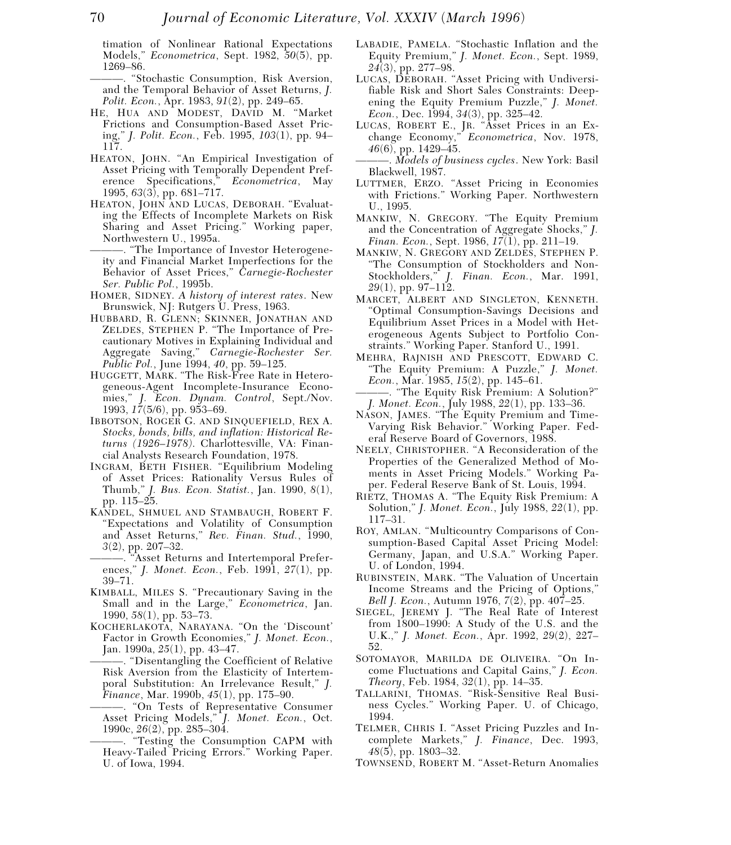timation of Nonlinear Rational Expectations Models," *Econometrica*, Sept. 1982, *50*(5), pp. 1269–86.

———. "Stochastic Consumption, Risk Aversion, and the Temporal Behavior of Asset Returns, *J. Polit. Econ.*, Apr. 1983, *91*(2), pp. 249–65.

- HE, HUA AND MODEST, DAVID M. "Market Frictions and Consumption-Based Asset Pricing," *J. Polit. Econ.*, Feb. 1995, *103*(1), pp. 94– 117.
- HEATON, JOHN. "An Empirical Investigation of Asset Pricing with Temporally Dependent Preference Specifications," *Econometrica*, May 1995, *63*(3), pp. 681–717.
- HEATON, JOHN AND LUCAS, DEBORAH. "Evaluating the Effects of Incomplete Markets on Risk Sharing and Asset Pricing." Working paper, Northwestern U., 1995a.
- ———. "The Importance of Investor Heterogeneity and Financial Market Imperfections for the Behavior of Asset Prices," *Carnegie-Rochester Ser. Public Pol.*, 1995b.
- HOMER, SIDNEY. *A history of interest rates*. New Brunswick, NJ: Rutgers U. Press, 1963.
- HUBBARD, R. GLENN; SKINNER, JONATHAN AND ZELDES, STEPHEN P. "The Importance of Precautionary Motives in Explaining Individual and Aggregate Saving," *Carnegie-Rochester Ser. Public Pol.*, June 1994, *40*, pp. 59–125.
- HUGGETT, MARK. "The Risk-Free Rate in Heterogeneous-Agent Incomplete-Insurance Economies," *J. Econ. Dynam. Control*, Sept./Nov. 1993, *17*(5/6), pp. 953–69.
- IBBOTSON, ROGER G. AND SINQUEFIELD, REX A. *Stocks, bonds, bills, and inflation: Historical Returns (1926–1978)*. Charlottesville, VA: Financial Analysts Research Foundation, 1978.
- INGRAM, BETH FISHER. "Equilibrium Modeling of Asset Prices: Rationality Versus Rules of Thumb," *J. Bus. Econ. Statist.*, Jan. 1990, *8*(1), pp. 115–25.
- KANDEL, SHMUEL AND STAMBAUGH, ROBERT F. "Expectations and Volatility of Consumption and Asset Returns," *Rev. Finan. Stud.*, 1990, *3*(2), pp. 207–32.
- ———. "Asset Returns and Intertemporal Preferences," *J. Monet. Econ.*, Feb. 1991, *27*(1), pp. 39–71.
- KIMBALL, MILES S. "Precautionary Saving in the Small and in the Large," *Econometrica*, Jan. 1990, *58*(1), pp. 53–73.
- KOCHERLAKOTA, NARAYANA. "On the 'Discount' Factor in Growth Economies," *J. Monet. Econ.*, Jan. 1990a, *25*(1), pp. 43–47.
	- ———. "Disentangling the Coefficient of Relative Risk Aversion from the Elasticity of Intertemporal Substitution: An Irrelevance Result," *J. Finance*, Mar. 1990b, *45*(1), pp. 175–90.
	- ———. "On Tests of Representative Consumer Asset Pricing Models," *J. Monet. Econ.*, Oct. 1990c, *26*(2), pp. 285–304.
	- ———. "Testing the Consumption CAPM with Heavy-Tailed Pricing Errors." Working Paper. U. of Iowa, 1994.
- LABADIE, PAMELA. "Stochastic Inflation and the Equity Premium," *J. Monet. Econ.*, Sept. 1989, *24*(3), pp. 277–98.
- LUCAS, DEBORAH. "Asset Pricing with Undiversifiable Risk and Short Sales Constraints: Deepening the Equity Premium Puzzle," *J. Monet. Econ.*, Dec. 1994, *34*(3), pp. 325–42.
- LUCAS, ROBERT E., JR. "Asset Prices in an Exchange Economy," *Econometrica*, Nov. 1978, *46*(6), pp. 1429–45.

———. *Models of business cycles*. New York: Basil Blackwell, 1987.

- LUTTMER, ERZO. "Asset Pricing in Economies with Frictions." Working Paper. Northwestern U., 1995.
- MANKIW, N. GREGORY. "The Equity Premium and the Concentration of Aggregate Shocks," *J. Finan. Econ.*, Sept. 1986, *17*(1), pp. 211–19.
- MANKIW, N. GREGORY AND ZELDES, STEPHEN P. "The Consumption of Stockholders and Non-Stockholders," *J. Finan. Econ.*, Mar. 1991, *29*(1), pp. 97–112.
- MARCET, ALBERT AND SINGLETON, KENNETH. "Optimal Consumption-Savings Decisions and Equilibrium Asset Prices in a Model with Heterogeneous Agents Subject to Portfolio Constraints." Working Paper. Stanford U., 1991.
- MEHRA, RAJNISH AND PRESCOTT, EDWARD C. "The Equity Premium: A Puzzle," *J. Monet. Econ.*, Mar. 1985, *15*(2), pp. 145–61.
- ———. "The Equity Risk Premium: A Solution?" *J. Monet. Econ.*, July 1988, *22*(1), pp. 133–36.
- NASON, JAMES. "The Equity Premium and Time-Varying Risk Behavior." Working Paper. Federal Reserve Board of Governors, 1988.
- NEELY, CHRISTOPHER. "A Reconsideration of the Properties of the Generalized Method of Moments in Asset Pricing Models." Working Paper. Federal Reserve Bank of St. Louis, 1994.
- RIETZ, THOMAS A. "The Equity Risk Premium: A Solution," *J. Monet. Econ.*, July 1988, *22*(1), pp. 117–31.
- ROY, AMLAN. "Multicountry Comparisons of Consumption-Based Capital Asset Pricing Model: Germany, Japan, and U.S.A." Working Paper. U. of London, 1994.
- RUBINSTEIN, MARK. "The Valuation of Uncertain Income Streams and the Pricing of Options," *Bell J. Econ.*, Autumn 1976, *7*(2), pp. 407–25.
- SIEGEL, JEREMY J. "The Real Rate of Interest from 1800–1990: A Study of the U.S. and the U.K.," *J. Monet. Econ.*, Apr. 1992, *29*(2), 227– 52.
- SOTOMAYOR, MARILDA DE OLIVEIRA. "On Income Fluctuations and Capital Gains," *J. Econ. Theory*, Feb. 1984, *32*(1), pp. 14–35.
- TALLARINI, THOMAS. "Risk-Sensitive Real Business Cycles." Working Paper. U. of Chicago, 1994.
- TELMER, CHRIS I. "Asset Pricing Puzzles and Incomplete Markets," *J. Finance*, Dec. 1993, *48*(5), pp. 1803–32.
- TOWNSEND, ROBERT M. "Asset-Return Anomalies